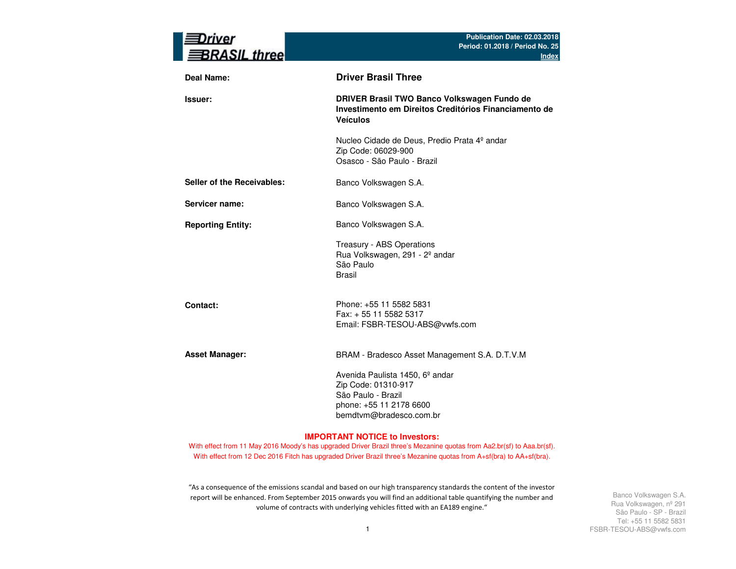| rıver<br><b>BRASIL three</b> | Publication Date: 02.03.2018<br>Period: 01.2018 / Period No. 25<br><b>Index</b>                                                                |
|------------------------------|------------------------------------------------------------------------------------------------------------------------------------------------|
| <b>Deal Name:</b>            | <b>Driver Brasil Three</b>                                                                                                                     |
| Issuer:                      | DRIVER Brasil TWO Banco Volkswagen Fundo de<br>Investimento em Direitos Creditórios Financiamento de<br><b>Veículos</b>                        |
|                              | Nucleo Cidade de Deus, Predio Prata 4º andar<br>Zip Code: 06029-900<br>Osasco - São Paulo - Brazil                                             |
| Seller of the Receivables:   | Banco Volkswagen S.A.                                                                                                                          |
| Servicer name:               | Banco Volkswagen S.A.                                                                                                                          |
| <b>Reporting Entity:</b>     | Banco Volkswagen S.A.                                                                                                                          |
|                              | Treasury - ABS Operations<br>Rua Volkswagen, 291 - 2º andar<br>São Paulo<br><b>Brasil</b>                                                      |
| Contact:                     | Phone: +55 11 5582 5831<br>Fax: + 55 11 5582 5317<br>Email: FSBR-TESOU-ABS@vwfs.com                                                            |
| <b>Asset Manager:</b>        | BRAM - Bradesco Asset Management S.A. D.T.V.M                                                                                                  |
|                              | Avenida Paulista 1450, 6 <sup>°</sup> andar<br>Zip Code: 01310-917<br>São Paulo - Brazil<br>phone: +55 11 2178 6600<br>bemdtvm@bradesco.com.br |

#### **IMPORTANT NOTICE to Investors:**

With effect from 11 May 2016 Moody's has upgraded Driver Brazil three's Mezanine quotas from Aa2.br(sf) to Aaa.br(sf). With effect from 12 Dec 2016 Fitch has upgraded Driver Brazil three's Mezanine quotas from A+sf(bra) to AA+sf(bra).

"As a consequence of the emissions scandal and based on our high transparency standards the content of the investor report will be enhanced. From September 2015 onwards you will find an additional table quantifying the number and volume of contracts with underlying vehicles fitted with an EA189 engine."

Banco Volkswagen S.A.Rua Volkswagen, nº 291 São Paulo - SP - Brazil Tel: +55 11 5582 5831FSBR-TESOU-ABS@vwfs.com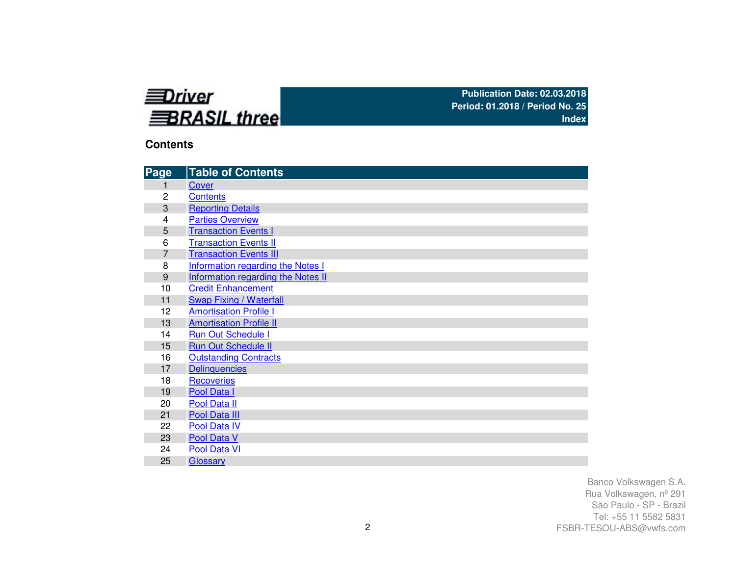

## **Contents**

| Page           | <b>Table of Contents</b>           |
|----------------|------------------------------------|
| 1              | Cover                              |
| 2              | <b>Contents</b>                    |
| 3              | <b>Reporting Details</b>           |
| 4              | <b>Parties Overview</b>            |
| 5              | <b>Transaction Events I</b>        |
| 6              | <b>Transaction Events II</b>       |
| $\overline{7}$ | <b>Transaction Events III</b>      |
| 8              | Information regarding the Notes I  |
| 9              | Information regarding the Notes II |
| 10             | <b>Credit Enhancement</b>          |
| 11             | <b>Swap Fixing / Waterfall</b>     |
| 12             | <b>Amortisation Profile I</b>      |
| 13             | <b>Amortisation Profile II</b>     |
| 14             | <b>Run Out Schedule I</b>          |
| 15             | <b>Run Out Schedule II</b>         |
| 16             | <b>Outstanding Contracts</b>       |
| 17             | <b>Delinquencies</b>               |
| 18             | <b>Recoveries</b>                  |
| 19             | Pool Data I                        |
| 20             | Pool Data II                       |
| 21             | Pool Data III                      |
| 22             | Pool Data IV                       |
| 23             | Pool Data V                        |
| 24             | Pool Data VI                       |
| 25             | Glossary                           |

Banco Volkswagen S.A.Rua Volkswagen, nº 291 São Paulo - SP - Brazil Tel: +55 11 5582 5831FSBR-TESOU-ABS@vwfs.com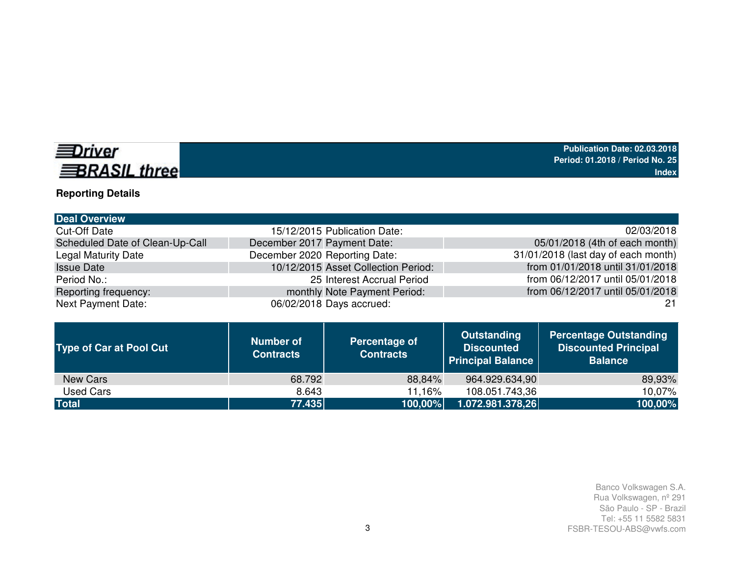# **EDriver BRASIL three**

# **Reporting Details**

| 15/12/2015 Publication Date:        | 02/03/2018                          |
|-------------------------------------|-------------------------------------|
| December 2017 Payment Date:         | 05/01/2018 (4th of each month)      |
| December 2020 Reporting Date:       | 31/01/2018 (last day of each month) |
| 10/12/2015 Asset Collection Period: | from 01/01/2018 until 31/01/2018    |
| 25 Interest Accrual Period          | from 06/12/2017 until 05/01/2018    |
| monthly Note Payment Period:        | from 06/12/2017 until 05/01/2018    |
| 06/02/2018 Days accrued:            | -21                                 |
|                                     |                                     |

| <b>Type of Car at Pool Cut</b> | <b>Number of</b><br><b>Contracts</b> | Percentage of<br><b>Contracts</b> | <b>Outstanding</b><br><b>Discounted</b><br><b>Principal Balance</b> | <b>Percentage Outstanding</b><br><b>Discounted Principal</b><br><b>Balance</b> |
|--------------------------------|--------------------------------------|-----------------------------------|---------------------------------------------------------------------|--------------------------------------------------------------------------------|
| New Cars                       | 68.792                               | 88,84%                            | 964.929.634,90                                                      | 89,93%                                                                         |
| Used Cars                      | 8.643                                | 11.16%                            | 108.051.743,36                                                      | 10,07%                                                                         |
| <b>Total</b>                   | 77.435                               | 100,00%                           | 1.072.981.378,26                                                    | 100,00%                                                                        |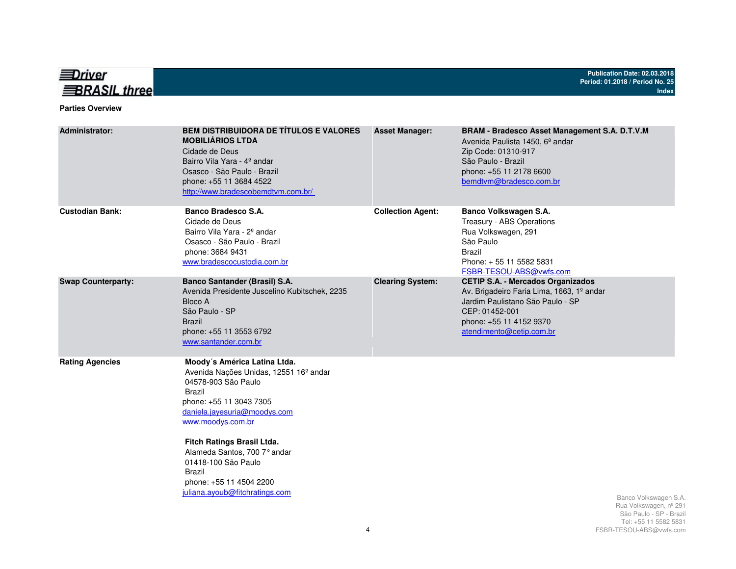

#### **Parties Overview**

| <b>Administrator:</b>     | <b>BEM DISTRIBUIDORA DE TÍTULOS E VALORES</b><br><b>MOBILIÁRIOS LTDA</b><br>Cidade de Deus<br>Bairro Vila Yara - 4º andar<br>Osasco - São Paulo - Brazil<br>phone: +55 11 3684 4522<br>http://www.bradescobemdtvm.com.br/                                                                                                                                       | <b>Asset Manager:</b>    | BRAM - Bradesco Asset Management S.A. D.T.V.M<br>Avenida Paulista 1450, 6 <sup>°</sup> andar<br>Zip Code: 01310-917<br>São Paulo - Brazil<br>phone: +55 11 2178 6600<br>bemdtvm@bradesco.com.br    |                                                                                                    |
|---------------------------|-----------------------------------------------------------------------------------------------------------------------------------------------------------------------------------------------------------------------------------------------------------------------------------------------------------------------------------------------------------------|--------------------------|----------------------------------------------------------------------------------------------------------------------------------------------------------------------------------------------------|----------------------------------------------------------------------------------------------------|
| <b>Custodian Bank:</b>    | Banco Bradesco S.A.<br>Cidade de Deus<br>Bairro Vila Yara - 2 <sup>°</sup> andar<br>Osasco - São Paulo - Brazil<br>phone: 3684 9431<br>www.bradescocustodia.com.br                                                                                                                                                                                              | <b>Collection Agent:</b> | Banco Volkswagen S.A.<br>Treasury - ABS Operations<br>Rua Volkswagen, 291<br>São Paulo<br><b>Brazil</b><br>Phone: +55 11 5582 5831<br>FSBR-TESOU-ABS@vwfs.com                                      |                                                                                                    |
| <b>Swap Counterparty:</b> | Banco Santander (Brasil) S.A.<br>Avenida Presidente Juscelino Kubitschek, 2235<br>Bloco A<br>São Paulo - SP<br><b>Brazil</b><br>phone: +55 11 3553 6792<br>www.santander.com.br                                                                                                                                                                                 | <b>Clearing System:</b>  | <b>CETIP S.A. - Mercados Organizados</b><br>Av. Brigadeiro Faria Lima, 1663, 1º andar<br>Jardim Paulistano São Paulo - SP<br>CEP: 01452-001<br>phone: +55 11 4152 9370<br>atendimento@cetip.com.br |                                                                                                    |
| <b>Rating Agencies</b>    | Moody's América Latina Ltda.<br>Avenida Nações Unidas, 12551 16 <sup>°</sup> andar<br>04578-903 São Paulo<br>Brazil<br>phone: +55 11 3043 7305<br>daniela.jayesuria@moodys.com<br>www.moodys.com.br<br>Fitch Ratings Brasil Ltda.<br>Alameda Santos, 700 7° andar<br>01418-100 São Paulo<br>Brazil<br>phone: +55 11 4504 2200<br>juliana.ayoub@fitchratings.com |                          |                                                                                                                                                                                                    | Banco Volkswagen S.A.<br>Rua Volkswagen, nº 291<br>São Paulo - SP - Brazil<br>Tel: 55 11 5582 5831 |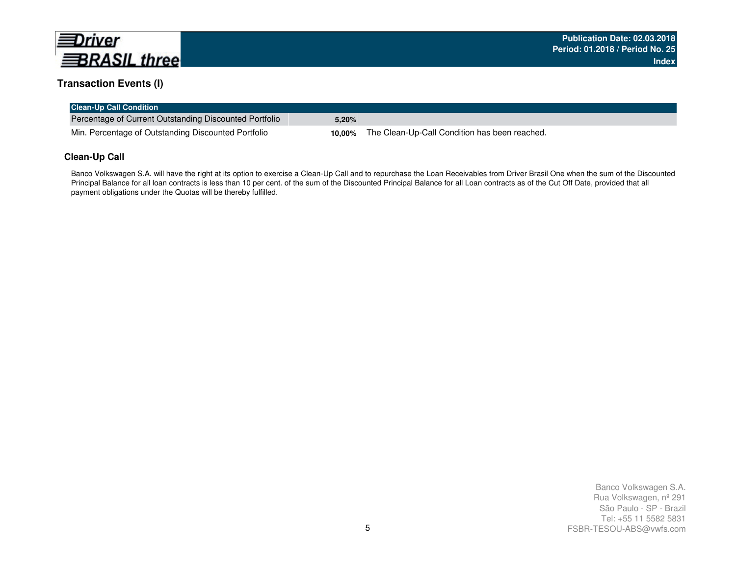

### **Transaction Events (I)**

| <b>Clean-Up Call Condition</b>                         |       |                                                             |
|--------------------------------------------------------|-------|-------------------------------------------------------------|
| Percentage of Current Outstanding Discounted Portfolio | 5.20% |                                                             |
| Min. Percentage of Outstanding Discounted Portfolio    |       | <b>10,00%</b> The Clean-Up-Call Condition has been reached. |

### **Clean-Up Call**

Banco Volkswagen S.A. will have the right at its option to exercise a Clean-Up Call and to repurchase the Loan Receivables from Driver Brasil One when the sum of the Discounted Principal Balance for all loan contracts is less than 10 per cent. of the sum of the Discounted Principal Balance for all Loan contracts as of the Cut Off Date, provided that all payment obligations under the Quotas will be thereby fulfilled.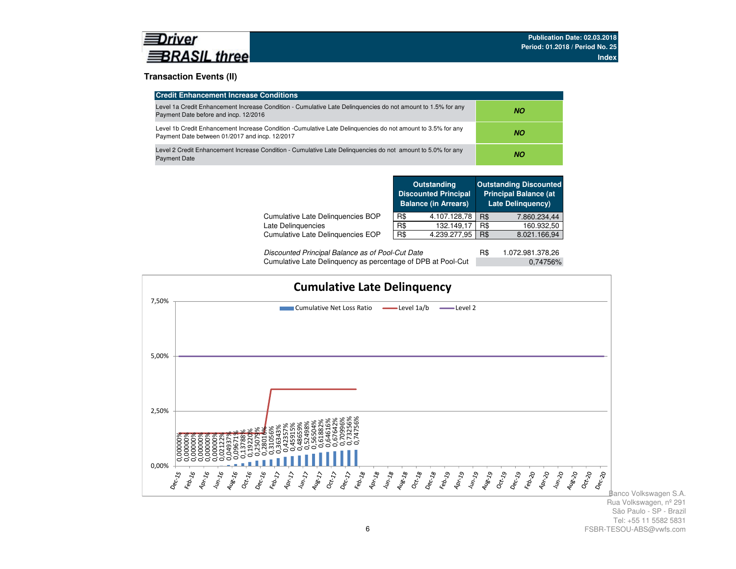

### **Transaction Events (II)**

| <b>Credit Enhancement Increase Conditions</b>                                                                                                                 |           |
|---------------------------------------------------------------------------------------------------------------------------------------------------------------|-----------|
| Level 1a Credit Enhancement Increase Condition - Cumulative Late Delinguencies do not amount to 1.5% for any<br>Payment Date before and incp. 12/2016         | NΟ        |
| Level 1b Credit Enhancement Increase Condition -Cumulative Late Delinguencies do not amount to 3.5% for any<br>Payment Date between 01/2017 and incp. 12/2017 | <b>NO</b> |
| Level 2 Credit Enhancement Increase Condition - Cumulative Late Delinguencies do not amount to 5.0% for any<br><b>Payment Date</b>                            | <b>NO</b> |

|                                   |     | <b>Outstanding</b><br><b>Discounted Principal</b><br><b>Balance (in Arrears)</b> |     | <b>Outstanding Discounted</b><br><b>Principal Balance (at</b><br><b>Late Delinguency)</b> |
|-----------------------------------|-----|----------------------------------------------------------------------------------|-----|-------------------------------------------------------------------------------------------|
| Cumulative Late Delinguencies BOP | R\$ | 4.107.128,78                                                                     | R\$ | 7.860.234,44                                                                              |
| Late Delinquencies                | R\$ | 132.149.17                                                                       | R\$ | 160.932,50                                                                                |
| Cumulative Late Delinguencies EOP | R\$ | 4.239.277,95                                                                     | R\$ | 8.021.166,94                                                                              |
|                                   |     |                                                                                  | - - |                                                                                           |

| Discounted Principal Balance as of Pool-Cut Date             | 1.072.981.378,26 |
|--------------------------------------------------------------|------------------|
| Cumulative Late Delinquency as percentage of DPB at Pool-Cut | 0.74756%         |



Banco Volkswagen S.A.Rua Volkswagen, nº 291 São Paulo - SP - Brazil Tel: +55 11 5582 5831FSBR-TESOU-ABS@vwfs.com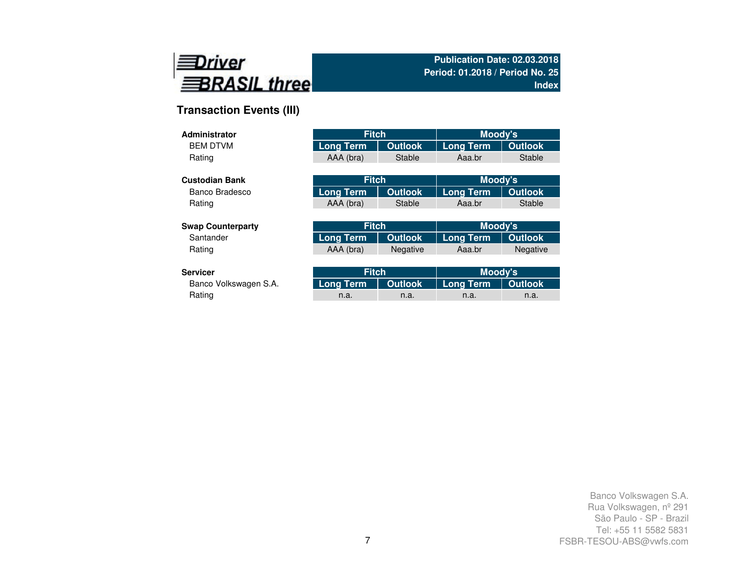

## **Transaction Events (III)**

| Administrator            | <b>Fitch</b>     |                | Moody's          |                 |
|--------------------------|------------------|----------------|------------------|-----------------|
| <b>BEM DTVM</b>          | <b>Long Term</b> | <b>Outlook</b> | <b>Long Term</b> | <b>Outlook</b>  |
| Rating                   | AAA (bra)        | <b>Stable</b>  | Aaa.br           | <b>Stable</b>   |
|                          |                  |                |                  |                 |
| <b>Custodian Bank</b>    | <b>Fitch</b>     |                | Moody's          |                 |
| Banco Bradesco           | <b>Long Term</b> | <b>Outlook</b> | <b>Long Term</b> | <b>Outlook</b>  |
| Rating                   | AAA (bra)        | <b>Stable</b>  | Aaa.br           | <b>Stable</b>   |
|                          |                  |                |                  |                 |
| <b>Swap Counterparty</b> | <b>Fitch</b>     |                | Moody's          |                 |
| Santander                | <b>Long Term</b> | <b>Outlook</b> | <b>Long Term</b> | <b>Outlook</b>  |
| Rating                   | AAA (bra)        | Negative       | Aaa.br           | <b>Negative</b> |
|                          |                  |                |                  |                 |
| <b>Servicer</b>          | <b>Fitch</b>     |                | Moody's          |                 |
| Banco Volkswagen S.A.    | Long Term        | <b>Outlook</b> | Long Term        | <b>Outlook</b>  |

| rvicer!               | <b>Fitch</b>                              |      | Moody's |      |  |
|-----------------------|-------------------------------------------|------|---------|------|--|
| Banco Volkswagen S.A. | Long Term   Outlook   Long Term   Outlook |      |         |      |  |
| Rating                | n.a.                                      | n.a. | n.a.    | n.a. |  |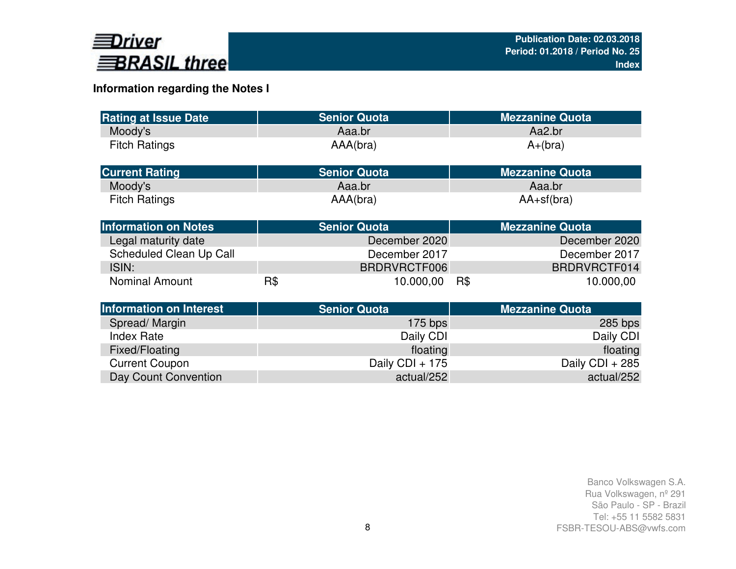

## **Information regarding the Notes I**

| <b>Rating at Issue Date</b>    |     | <b>Senior Quota</b> | <b>Mezzanine Quota</b> |
|--------------------------------|-----|---------------------|------------------------|
| Moody's                        |     | Aaa.br              | Aa2.br                 |
| <b>Fitch Ratings</b>           |     | AAA(bra)            | $A+(bra)$              |
| <b>Current Rating</b>          |     | <b>Senior Quota</b> | <b>Mezzanine Quota</b> |
| Moody's                        |     | Aaa.br              | Aaa.br                 |
| <b>Fitch Ratings</b>           |     | AAA(bra)            | $AA+sf(bra)$           |
| <b>Information on Notes</b>    |     | <b>Senior Quota</b> | <b>Mezzanine Quota</b> |
| Legal maturity date            |     | December 2020       | December 2020          |
| Scheduled Clean Up Call        |     | December 2017       | December 2017          |
| ISIN:                          |     | BRDRVRCTF006        | BRDRVRCTF014           |
| <b>Nominal Amount</b>          | R\$ | 10.000,00           | R\$<br>10.000,00       |
| <b>Information on Interest</b> |     | <b>Senior Quota</b> | <b>Mezzanine Quota</b> |
| Spread/Margin                  |     | $175$ bps           | $285$ bps              |
| <b>Index Rate</b>              |     | Daily CDI           | Daily CDI              |
| Fixed/Floating                 |     | floating            | floating               |
| <b>Current Coupon</b>          |     | Daily CDI + 175     | Daily CDI + 285        |
| Day Count Convention           |     | actual/252          | actual/252             |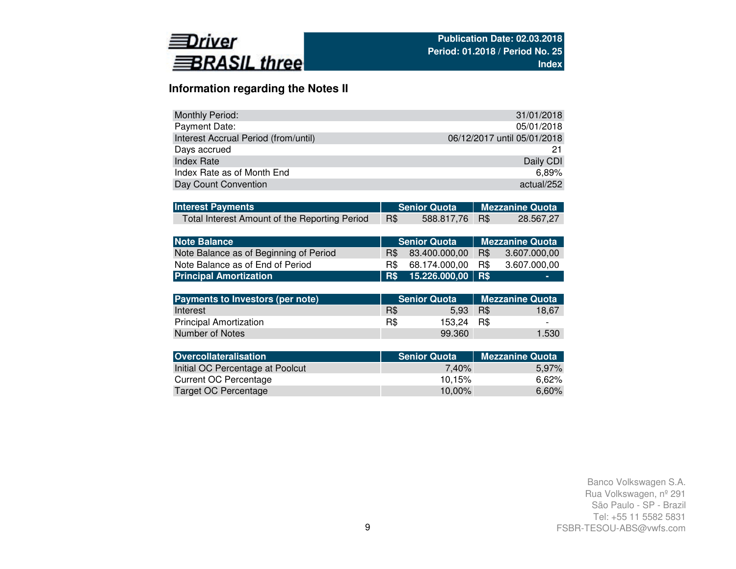

## **Information regarding the Notes II**

| Monthly Period:                      | 31/01/2018                  |
|--------------------------------------|-----------------------------|
| Payment Date:                        | 05/01/2018                  |
| Interest Accrual Period (from/until) | 06/12/2017 until 05/01/2018 |
| Days accrued                         | 21                          |
| <b>Index Rate</b>                    | Daily CDI                   |
| Index Rate as of Month End           | 6.89%                       |
| Day Count Convention                 | actual/252                  |

| <b>Interest Payments</b>                      |     | Senior Quota   Mezzanine Quota |           |
|-----------------------------------------------|-----|--------------------------------|-----------|
| Total Interest Amount of the Reporting Period | R\$ | 588.817,76 R\$                 | 28.567,27 |

| <b>Note Balance</b>                    |     | <b>Senior Quota</b>   |     | <b>Mezzanine Quota</b> |
|----------------------------------------|-----|-----------------------|-----|------------------------|
| Note Balance as of Beginning of Period | R\$ | 83.400.000.00         | R\$ | 3.607.000.00           |
| Note Balance as of End of Period       | R\$ | 68.174.000.00         | R\$ | 3.607.000.00           |
| <b>Principal Amortization</b>          |     | R\$ 15.226.000,00 R\$ |     | ۰                      |

| <b>Payments to Investors (per note)</b> |     | <b>Senior Quota</b> |      | Mezzanine Quota |
|-----------------------------------------|-----|---------------------|------|-----------------|
| Interest                                | R\$ | 5.93                | R\$  | 18.67           |
| <b>Principal Amortization</b>           | R\$ | 153.24              | R\$. |                 |
| Number of Notes                         |     | 99.360              |      | 1.530           |

| <b>Senior Quota</b> | <b>Mezzanine Quota</b> |
|---------------------|------------------------|
| 7.40%               | 5.97%                  |
| 10.15%              | 6.62%                  |
| 10.00%              | 6,60%                  |
|                     |                        |

Banco Volkswagen S.A.Rua Volkswagen, nº 291 São Paulo - SP - Brazil Tel: +55 11 5582 5831FSBR-TESOU-ABS@vwfs.com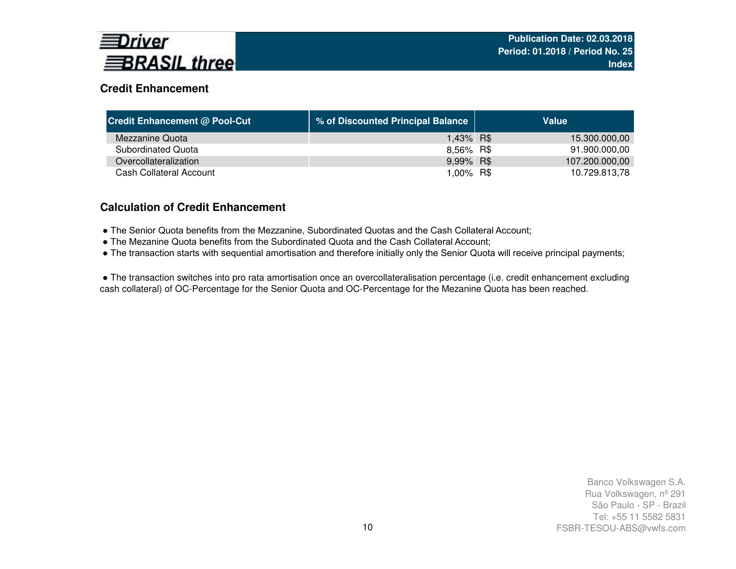

## **Credit Enhancement**

| <b>Credit Enhancement @ Pool-Cut</b> | % of Discounted Principal Balance | Value          |
|--------------------------------------|-----------------------------------|----------------|
| Mezzanine Quota                      | 1,43% R\$                         | 15.300.000,00  |
| Subordinated Quota                   | 8,56% R\$                         | 91.900.000,00  |
| Overcollateralization                | 9,99% R\$                         | 107.200.000,00 |
| Cash Collateral Account              | 1,00% R\$                         | 10.729.813,78  |

### **Calculation of Credit Enhancement**

- The Senior Quota benefits from the Mezzanine, Subordinated Quotas and the Cash Collateral Account;
- The Mezanine Quota benefits from the Subordinated Quota and the Cash Collateral Account;
- The transaction starts with sequential amortisation and therefore initially only the Senior Quota will receive principal payments;

● The transaction switches into pro rata amortisation once an overcollateralisation percentage (i.e. credit enhancement excluding cash collateral) of OC-Percentage for the Senior Quota and OC-Percentage for the Mezanine Quota has been reached.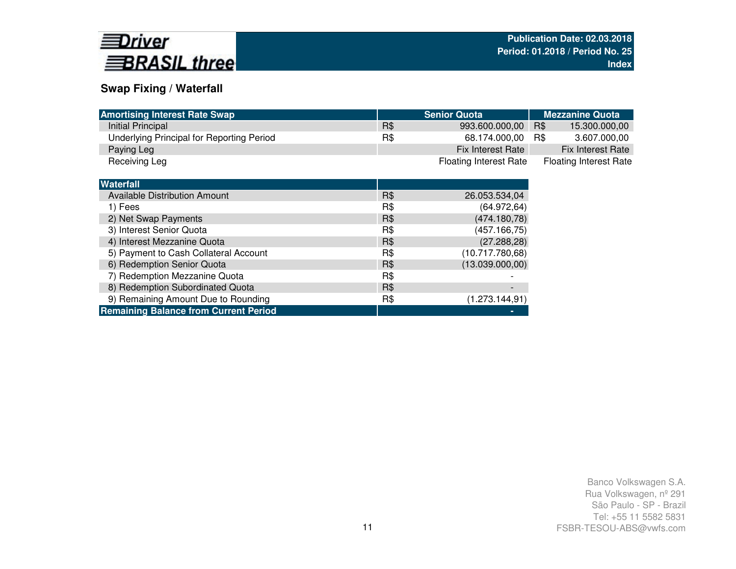

## **Swap Fixing / Waterfall**

| <b>Amortising Interest Rate Swap</b>      |     | <b>Senior Quota</b>           | <b>Mezzanine Quota</b>        |
|-------------------------------------------|-----|-------------------------------|-------------------------------|
| Initial Principal                         | R\$ | 993.600.000,00                | R\$<br>15.300.000,00          |
| Underlying Principal for Reporting Period | R\$ | 68.174.000,00                 | 3.607.000,00<br>R\$           |
| Paying Leg                                |     | Fix Interest Rate             | <b>Fix Interest Rate</b>      |
| Receiving Leg                             |     | <b>Floating Interest Rate</b> | <b>Floating Interest Rate</b> |
|                                           |     |                               |                               |
| <b>Waterfall</b>                          |     |                               |                               |
| <b>Available Distribution Amount</b>      | R\$ | 26.053.534,04                 |                               |
| 1) Fees                                   | R\$ | (64.972, 64)                  |                               |
| 2) Net Swap Payments                      | R\$ | (474.180,78)                  |                               |
| 3) Interest Senior Quota                  | R\$ | (457.166,75)                  |                               |
| 4) Interest Mezzanine Quota               | R\$ | (27.288, 28)                  |                               |
| 5) Payment to Cash Collateral Account     | R\$ | (10.717.780,68)               |                               |
| 6) Redemption Senior Quota                | R\$ | (13.039.000,00)               |                               |
| 7) Redemption Mezzanine Quota             | R\$ |                               |                               |
| 8) Redemption Subordinated Quota          | R\$ |                               |                               |

| 8) Redemption Subordinated Quota             | R\$ |                |
|----------------------------------------------|-----|----------------|
| 9) Remaining Amount Due to Rounding          | R\$ | (1.273.144.91) |
| <b>Remaining Balance from Current Period</b> |     |                |
|                                              |     |                |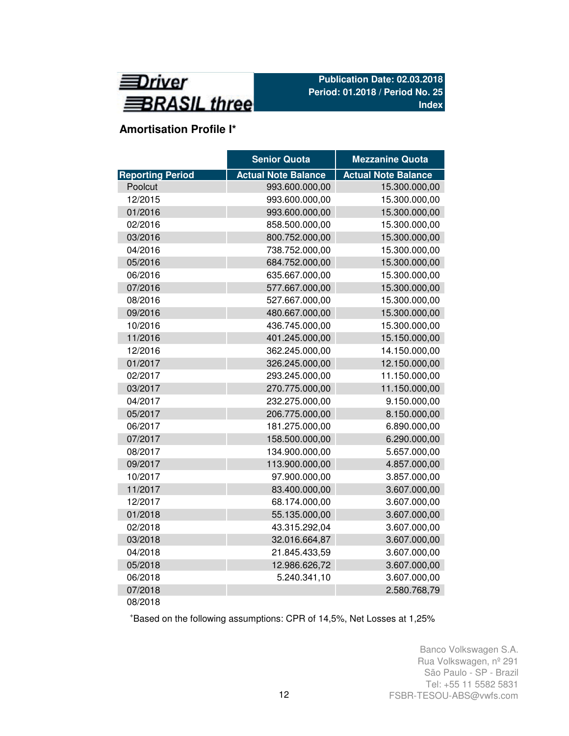

## **Amortisation Profile I\***

|                         | <b>Senior Quota</b>        | <b>Mezzanine Quota</b>     |
|-------------------------|----------------------------|----------------------------|
| <b>Reporting Period</b> | <b>Actual Note Balance</b> | <b>Actual Note Balance</b> |
| Poolcut                 | 993.600.000,00             | 15.300.000,00              |
| 12/2015                 | 993.600.000,00             | 15.300.000,00              |
| 01/2016                 | 993.600.000,00             | 15.300.000,00              |
| 02/2016                 | 858.500.000,00             | 15.300.000,00              |
| 03/2016                 | 800.752.000,00             | 15.300.000,00              |
| 04/2016                 | 738.752.000,00             | 15.300.000,00              |
| 05/2016                 | 684.752.000,00             | 15.300.000,00              |
| 06/2016                 | 635.667.000,00             | 15.300.000,00              |
| 07/2016                 | 577.667.000,00             | 15.300.000,00              |
| 08/2016                 | 527.667.000,00             | 15.300.000,00              |
| 09/2016                 | 480.667.000,00             | 15.300.000,00              |
| 10/2016                 | 436.745.000,00             | 15.300.000,00              |
| 11/2016                 | 401.245.000,00             | 15.150.000,00              |
| 12/2016                 | 362.245.000,00             | 14.150.000,00              |
| 01/2017                 | 326.245.000,00             | 12.150.000,00              |
| 02/2017                 | 293.245.000,00             | 11.150.000,00              |
| 03/2017                 | 270.775.000,00             | 11.150.000,00              |
| 04/2017                 | 232.275.000,00             | 9.150.000,00               |
| 05/2017                 | 206.775.000,00             | 8.150.000,00               |
| 06/2017                 | 181.275.000,00             | 6.890.000,00               |
| 07/2017                 | 158.500.000,00             | 6.290.000,00               |
| 08/2017                 | 134.900.000,00             | 5.657.000,00               |
| 09/2017                 | 113.900.000,00             | 4.857.000,00               |
| 10/2017                 | 97.900.000,00              | 3.857.000,00               |
| 11/2017                 | 83.400.000,00              | 3.607.000,00               |
| 12/2017                 | 68.174.000,00              | 3.607.000,00               |
| 01/2018                 | 55.135.000,00              | 3.607.000,00               |
| 02/2018                 | 43.315.292,04              | 3.607.000,00               |
| 03/2018                 | 32.016.664,87              | 3.607.000,00               |
| 04/2018                 | 21.845.433,59              | 3.607.000,00               |
| 05/2018                 | 12.986.626,72              | 3.607.000,00               |
| 06/2018                 | 5.240.341,10               | 3.607.000,00               |
| 07/2018                 |                            | 2.580.768,79               |
| 08/2018                 |                            |                            |

<sup>+</sup>Based on the following assumptions: CPR of 14,5%, Net Losses at 1,25%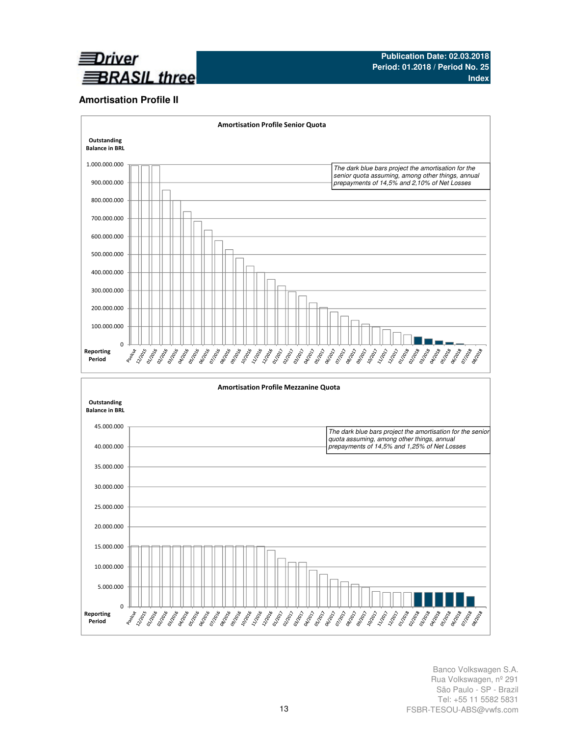

### **Amortisation Profile II**

Reporting Period



Banco Volkswagen S.A. Rua Volkswagen, nº 291 São Paulo - SP - Brazil Tel: +55 11 5582 5831 FSBR-TESOU-ABS@vwfs.com

**PARTHS**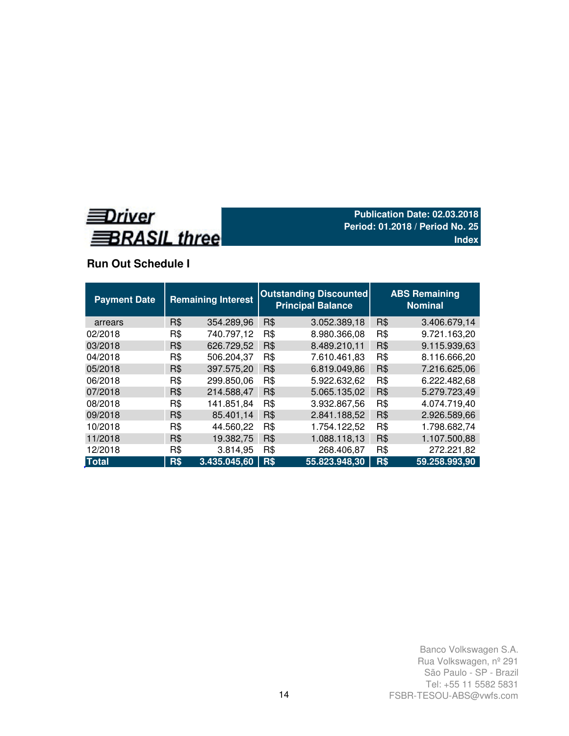

## **Run Out Schedule I**

| <b>Payment Date</b> |            | <b>Remaining Interest</b> |     | <b>Outstanding Discounted</b><br><b>Principal Balance</b> |     | <b>ABS Remaining</b><br><b>Nominal</b> |
|---------------------|------------|---------------------------|-----|-----------------------------------------------------------|-----|----------------------------------------|
| arrears             | R\$        | 354.289,96                | R\$ | 3.052.389,18                                              | R\$ | 3.406.679.14                           |
| 02/2018             | R\$        | 740.797,12                | R\$ | 8.980.366,08                                              | R\$ | 9.721.163,20                           |
| 03/2018             | R\$        | 626.729,52                | R\$ | 8.489.210,11                                              | R\$ | 9.115.939,63                           |
| 04/2018             | R\$        | 506.204,37                | R\$ | 7.610.461,83                                              | R\$ | 8.116.666,20                           |
| 05/2018             | R\$        | 397.575,20                | R\$ | 6.819.049.86                                              | R\$ | 7.216.625,06                           |
| 06/2018             | R\$        | 299.850,06                | R\$ | 5.922.632,62                                              | R\$ | 6.222.482,68                           |
| 07/2018             | R\$        | 214.588,47                | R\$ | 5.065.135,02                                              | R\$ | 5.279.723,49                           |
| 08/2018             | R\$        | 141.851,84                | R\$ | 3.932.867,56                                              | R\$ | 4.074.719,40                           |
| 09/2018             | R\$        | 85.401,14                 | R\$ | 2.841.188,52                                              | R\$ | 2.926.589,66                           |
| 10/2018             | R\$        | 44.560,22                 | R\$ | 1.754.122,52                                              | R\$ | 1.798.682,74                           |
| 11/2018             | R\$        | 19.382,75                 | R\$ | 1.088.118,13                                              | R\$ | 1.107.500,88                           |
| 12/2018             | R\$        | 3.814,95                  | R\$ | 268.406,87                                                | R\$ | 272.221,82                             |
| <b>Total</b>        | <b>R\$</b> | 3.435.045,60              | R\$ | 55.823.948,30                                             | R\$ | 59.258.993,90                          |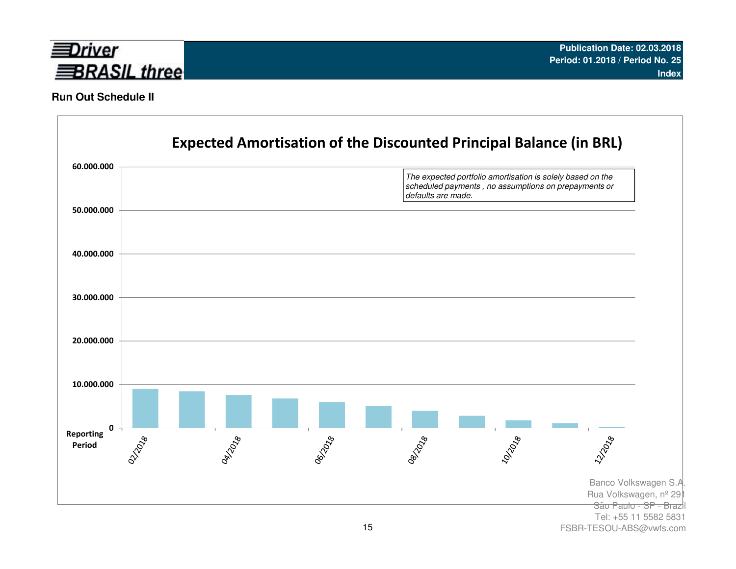

### **Run Out Schedule II**



FSBR-TESOU-ABS@vwfs.com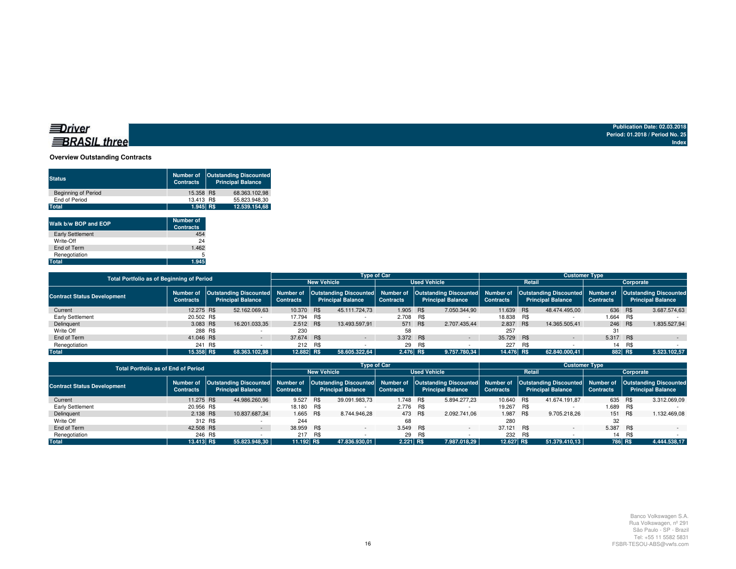### **BRASIL** three

**Publication Date: 02.03.2018 Period: 01.2018 / Period No. 25Index**

### **Overview Outstanding Contracts**

| <b>Status</b>              | Number of<br><b>Contracts</b> | <b>Outstanding Discounted</b><br><b>Principal Balance</b> |
|----------------------------|-------------------------------|-----------------------------------------------------------|
| <b>Beginning of Period</b> | 15.358 R\$                    | 68.363.102.98                                             |
| End of Period              | 13.413 R\$                    | 55.823.948.30                                             |
| Total                      | 1.945 RS                      | 12.539.154.68                                             |
|                            |                               |                                                           |

| Walk b/w BOP and EOP    | <b>Number of</b><br><b>Contracts</b> |
|-------------------------|--------------------------------------|
| <b>Early Settlement</b> | 454                                  |
| Write-Off               | 24                                   |
| End of Term             | 1.462                                |
| Renegotiation           | 5                                    |
| Total                   | 1.945                                |

| <b>Total Portfolio as of Beginning of Period</b> |                               |         |                          |                  |                          | <b>Type of Car</b> |     |                                                                                                                                                                 |                  |        | <b>Customer Type</b>     |                  |           |                                                           |
|--------------------------------------------------|-------------------------------|---------|--------------------------|------------------|--------------------------|--------------------|-----|-----------------------------------------------------------------------------------------------------------------------------------------------------------------|------------------|--------|--------------------------|------------------|-----------|-----------------------------------------------------------|
|                                                  |                               |         |                          |                  | <b>New Vehicle</b>       |                    |     | <b>Used Vehicle</b>                                                                                                                                             |                  | Retail |                          |                  | Corporate |                                                           |
| <b>Contract Status Development</b>               | Number of<br><b>Contracts</b> |         | <b>Principal Balance</b> | <b>Contracts</b> | <b>Principal Balance</b> | <b>Contracts</b>   |     | Outstanding Discounted Number of Outstanding Discounted Number of Outstanding Discounted Number of Outstanding Discounted Number of<br><b>Principal Balance</b> | <b>Contracts</b> |        | <b>Principal Balance</b> | <b>Contracts</b> |           | <b>Outstanding Discounted</b><br><b>Principal Balance</b> |
| Current                                          | 12.275 R\$                    |         | 52.162.069.63            | 10.370 R\$       | 45.111.724.73            | 1.905 R\$          |     | 7.050.344,90                                                                                                                                                    | 11.639 R\$       |        | 48.474.495.00            | 636 R\$          |           | 3.687.574,63                                              |
| Early Settlement                                 | 20,502 R\$                    |         |                          | 17.794 R\$       |                          | 2.708 R\$          |     |                                                                                                                                                                 | 18,838 R\$       |        |                          | 1.664            | R\$       |                                                           |
| Delinquent                                       | 3.083 R\$                     |         | 16.201.033,35            | 2.512 R\$        | 13.493.597.91            | 571 R\$            |     | 2.707.435.44                                                                                                                                                    | 2.837 R\$        |        | 14.365.505.41            | 246 R\$          |           | 1.835.527,94                                              |
| Write Off                                        |                               | 288 R\$ |                          | 230              |                          | 58                 |     |                                                                                                                                                                 | 257              |        |                          | -31              |           |                                                           |
| End of Term                                      | 41.046 R\$                    |         | $\sim$                   | 37.674 R\$       | $\sim$                   | 3.372 R\$          |     | $\sim$                                                                                                                                                          | 35.729 R\$       |        | $\sim$                   | 5.317 R\$        |           | $\sim$                                                    |
| Renegotiation                                    | 241                           | R\$     |                          | 212 R\$          |                          | 29                 | R\$ |                                                                                                                                                                 | 227              | R\$    |                          | 14               | R\$       |                                                           |
| <b>Total</b>                                     | 15.358 R\$                    |         | 68.363.102.98            | 12.882 R\$       | 58.605.322.64            | $2.476$ R\$        |     | 9.757.780.34                                                                                                                                                    | 14.476 R\$       |        | 62.840.000.41            |                  | 882 R\$   | 5.523.102,57                                              |

| <b>Total Portfolio as of End of Period</b> |                               |                          |                  |     |                          | <b>Type of Car</b> |         |                                                                                                                                                                                                                         |                  |            | <b>Customer Type</b>     |                  |           |                          |
|--------------------------------------------|-------------------------------|--------------------------|------------------|-----|--------------------------|--------------------|---------|-------------------------------------------------------------------------------------------------------------------------------------------------------------------------------------------------------------------------|------------------|------------|--------------------------|------------------|-----------|--------------------------|
|                                            |                               |                          |                  |     | <b>New Vehicle</b>       |                    |         | <b>Used Vehicle</b>                                                                                                                                                                                                     |                  | Retail     |                          |                  | Corporate |                          |
| <b>Contract Status Development</b>         | Number of<br><b>Contracts</b> | <b>Principal Balance</b> | <b>Contracts</b> |     | <b>Principal Balance</b> | <b>Contracts</b>   |         | Outstanding Discounted Number of Outstanding Discounted Number of Outstanding Discounted Number of Outstanding Discounted Number of Outstanding Discounted Number of Outstanding Discounted<br><b>Principal Balance</b> | <b>Contracts</b> |            | <b>Principal Balance</b> | <b>Contracts</b> |           | <b>Principal Balance</b> |
| Current                                    | 11.275 R\$                    | 44.986.260,96            | 9.527            | R\$ | 39.091.983,73            | 1.748 R\$          |         | 5.894.277.23                                                                                                                                                                                                            | 10.640 R\$       |            | 41.674.191.87            | 635 R\$          |           | 3.312.069,09             |
| <b>Early Settlement</b>                    | 20.956 R\$                    |                          | 18.180 R\$       |     |                          | 2.776 R\$          |         |                                                                                                                                                                                                                         | 19.267           | <b>R\$</b> |                          | 1.689 R\$        |           |                          |
| Delinquent                                 | 2.138 R\$                     | 10.837.687.34            | 1.665 R\$        |     | 8.744.946.28             |                    | 473 R\$ | 2.092.741.06                                                                                                                                                                                                            | 1.987 R\$        |            | 9.705.218.26             | 151 R\$          |           | 1.132.469.08             |
| Write Off                                  | 312 R\$                       |                          | 244              |     |                          | 68                 |         |                                                                                                                                                                                                                         | 280              |            |                          | 32               |           |                          |
| End of Term                                | 42,508 R\$                    |                          | 38.959 R\$       |     |                          | 3.549 R\$          |         | $\sim$                                                                                                                                                                                                                  | 37.121 R\$       |            | $\overline{\phantom{0}}$ | 5.387 R\$        |           |                          |
| Renegotiation                              | 246 R\$                       |                          | 217              | R\$ |                          |                    | 29 R\$  |                                                                                                                                                                                                                         | 232              | R\$        |                          | 14               | R\$       |                          |
| <b>Total</b>                               | 13.413 R\$                    | 55.823.948.30            | 11.192 R\$       |     | 47.836.930.01            | 2.221 R\$          |         | 7.987.018.29                                                                                                                                                                                                            | 12.627 R\$       |            | 51.379.410.13            | 786 R\$          |           | 4.444.538,17             |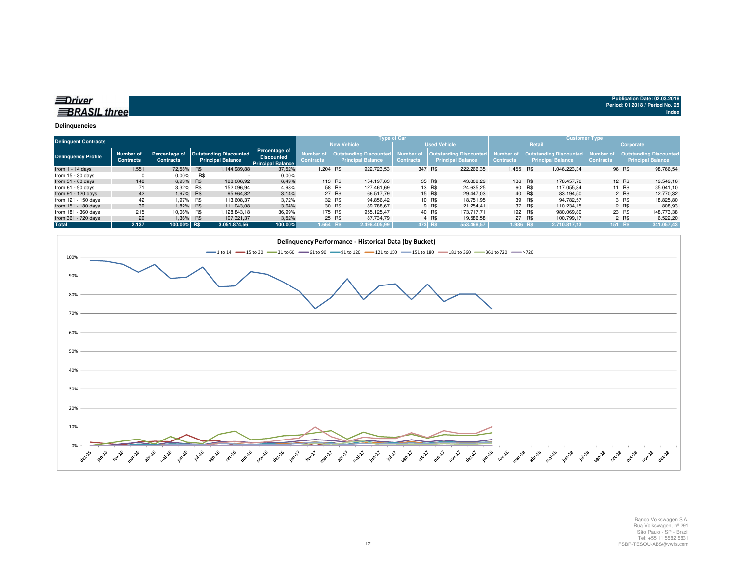| Driver              |  |
|---------------------|--|
| <b>BRASIL three</b> |  |
|                     |  |

#### **Delinquencies**

| <b>Delinquent Contracts</b> |                               |                                   |            |                                                           |                                                                       |                                      |         | <b>Type of Car</b>                                        |                               |         |                                                    |                                      |        | <b>Customer Type</b>                                      |                               |           |                                                           |
|-----------------------------|-------------------------------|-----------------------------------|------------|-----------------------------------------------------------|-----------------------------------------------------------------------|--------------------------------------|---------|-----------------------------------------------------------|-------------------------------|---------|----------------------------------------------------|--------------------------------------|--------|-----------------------------------------------------------|-------------------------------|-----------|-----------------------------------------------------------|
|                             |                               |                                   |            |                                                           |                                                                       |                                      |         | <b>New Vehicle</b>                                        |                               |         | <b>Used Vehicle</b>                                |                                      |        | Retail                                                    |                               | Corporate |                                                           |
| <b>Delinquency Profile</b>  | Number of<br><b>Contracts</b> | Percentage of<br><b>Contracts</b> |            | <b>Outstanding Discounted</b><br><b>Principal Balance</b> | <b>Percentage of</b><br><b>Discounted</b><br><b>Principal Balance</b> | <b>Number</b> of<br><b>Contracts</b> |         | <b>Outstanding Discounted</b><br><b>Principal Balance</b> | Number of<br><b>Contracts</b> |         | Outstanding Discounted<br><b>Principal Balance</b> | <b>Number of</b><br><b>Contracts</b> |        | <b>Outstanding Discounted</b><br><b>Principal Balance</b> | Number of<br><b>Contracts</b> |           | <b>Outstanding Discounted</b><br><b>Principal Balance</b> |
| from $1 - 14$ days          | 1.551                         | 72,58%                            | <b>R\$</b> | 1.144.989.88                                              | 37,52%                                                                | 1.204 R\$                            |         | 922.723.53                                                | 347 R\$                       |         | 222.266.35                                         | 1.455 R\$                            |        | 1.046.223.34                                              |                               | 96 R\$    | 98.766,54                                                 |
| from $15 - 30$ days         |                               | $0.00\%$                          | R\$        |                                                           | $0.00\%$                                                              |                                      |         |                                                           |                               |         |                                                    |                                      |        |                                                           |                               |           |                                                           |
| from $31 - 60$ days         | 148                           | 6,93% R\$                         |            | 198,006.92                                                | 6,49%                                                                 |                                      | 113 R\$ | 154.197.63                                                |                               | 35 R\$  | 43.809.29                                          | 136 R\$                              |        | 178,457.76                                                |                               | 12 R\$    | 19.549,16                                                 |
| from $61 - 90$ days         | 71                            | 3.32% R\$                         |            | 152.096.94                                                | 4,98%                                                                 |                                      | 58 R\$  | 127.461.69                                                |                               | 13 R\$  | 24.635.25                                          |                                      | 60 R\$ | 117.055.84                                                |                               | 11 R\$    | 35.041,10                                                 |
| from 91 - 120 days          | 42                            | 1.97% R\$                         |            | 95.964.82                                                 | 3.14%                                                                 |                                      | 27 R\$  | 66.517.79                                                 |                               | 15 R\$  | 29.447.03                                          |                                      | 40 R\$ | 83.194.50                                                 |                               | 2 R\$     | 12,770.32                                                 |
| from 121 - 150 days         | 42                            | 1.97% R\$                         |            | 113.608.37                                                | 3,72%                                                                 |                                      | 32 R\$  | 94.856,42                                                 |                               | 10 R\$  | 18.751.95                                          |                                      | 39 R\$ | 94.782.57                                                 |                               | 3 R\$     | 18.825,80                                                 |
| from 151 - 180 days         | 39                            | 1.82% R\$                         |            | 111.043.08                                                | 3,64%                                                                 |                                      | 30 R\$  | 89.788.67                                                 |                               | 9 R\$   | 21.254.41                                          |                                      | 37 R\$ | 110.234.15                                                |                               | 2 R\$     | 808,93                                                    |
| from 181 - 360 days         | 215                           | 10.06% R\$                        |            | 1.128.843.18                                              | 36,99%                                                                |                                      | 175 R\$ | 955.125.47                                                |                               | 40 R\$  | 173.717.71                                         | 192 R\$                              |        | 980.069.80                                                |                               | 23 R\$    | 148.773.38                                                |
| from 361 - 720 days         | 29                            | 1,36% R\$                         |            | 107.321,37                                                | 3,52%                                                                 |                                      | 25 R\$  | 87.734.79                                                 |                               | 4 R\$   | 19.586.58                                          |                                      | 27 R\$ | 100.799.17                                                |                               | 2 R\$     | 6.522,20                                                  |
| Total                       | 2.137                         | 100.00% R\$                       |            | 3.051.874.56                                              | 100,00%                                                               | $1.664$ R\$                          |         | 2.498.405.99                                              |                               | 473 R\$ | 553.468.57                                         | 1.986 R\$                            |        | 2.710.817.13                                              | $151$ R\$                     |           | 341.057,43                                                |

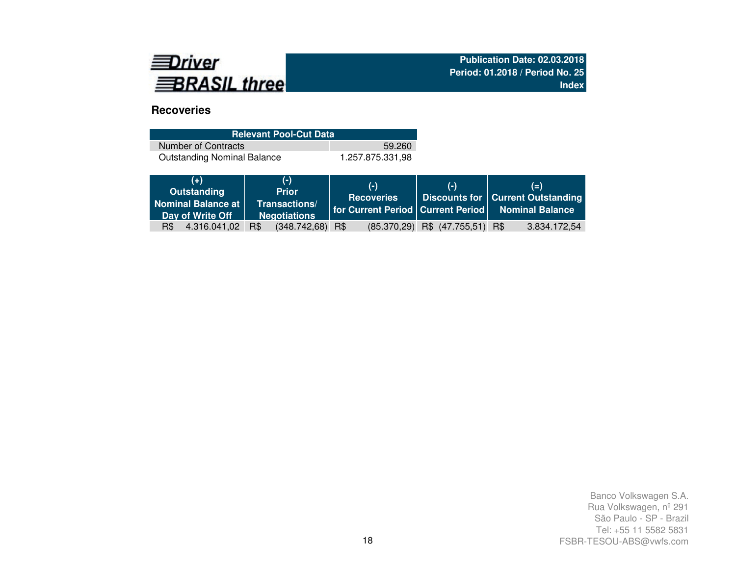

## **Recoveries**

| <b>Relevant Pool-Cut Data</b>      |                  |
|------------------------------------|------------------|
| Number of Contracts                | 59.260           |
| <b>Outstanding Nominal Balance</b> | 1.257.875.331.98 |

|     | $(+)$<br>Outstanding<br>Nominal Balance at<br>Day of Write Off |     | $(-)$<br><b>Prior</b><br>Transactions/<br><b>Negotiations</b> | $(-)$<br><b>Recoveries</b> | $(-)$                                 | $(=)$<br>Discounts for   Current Outstanding<br>  for Current Period   Current Period   Nominal Balance |
|-----|----------------------------------------------------------------|-----|---------------------------------------------------------------|----------------------------|---------------------------------------|---------------------------------------------------------------------------------------------------------|
| R\$ | 4.316.041,02                                                   | R\$ | $(348.742, 68)$ R\$                                           |                            | $(85.370, 29)$ R\$ $(47.755, 51)$ R\$ | 3.834.172,54                                                                                            |
|     |                                                                |     |                                                               |                            |                                       |                                                                                                         |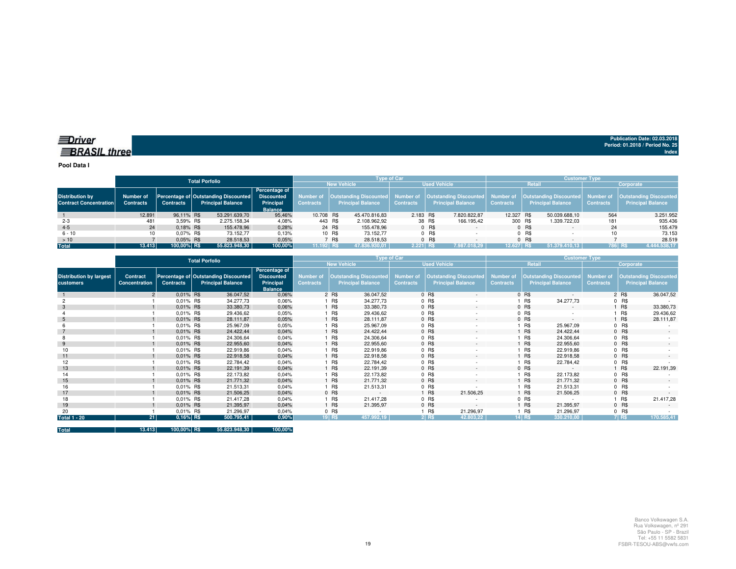**Pool Data I**

|                                                         |                               |                  | Total Porfolio |                                                                  |                                                                   |             |        |                          | <b>Type of Car</b> |        |                                                                                                       |                  |         | <b>Customer Type</b>                                             |                               |                                                           |
|---------------------------------------------------------|-------------------------------|------------------|----------------|------------------------------------------------------------------|-------------------------------------------------------------------|-------------|--------|--------------------------|--------------------|--------|-------------------------------------------------------------------------------------------------------|------------------|---------|------------------------------------------------------------------|-------------------------------|-----------------------------------------------------------|
|                                                         |                               |                  |                |                                                                  |                                                                   |             |        | <b>New Vehicle</b>       |                    |        | <b>Used Vehicle</b>                                                                                   |                  | Retail  |                                                                  |                               | Corporate                                                 |
| <b>Distribution by</b><br><b>Contract Concentration</b> | Number of<br><b>Contracts</b> | <b>Contracts</b> |                | Percentage of Outstanding Discounted<br><b>Principal Balance</b> | Percentage of<br><b>Discounted</b><br>Principal<br><b>Balance</b> | Contracts   |        | <b>Principal Balance</b> | <b>Contracts</b>   |        | Number of   Outstanding Discounted   Number of   Outstanding Discounted  <br><b>Principal Balance</b> | <b>Contracts</b> |         | Number of   Outstanding Discounted  <br><b>Principal Balance</b> | Number of<br><b>Contracts</b> | <b>Outstanding Discounted</b><br><b>Principal Balance</b> |
|                                                         | 12.891                        | 96.11% R\$       |                | 53.291.639.70                                                    | 95,46%                                                            | 10.708 R\$  |        | 45.470.816.83            | 2.183 R\$          |        | 7.820.822.87                                                                                          | 12.327 R\$       |         | 50.039.688,10                                                    | 564                           | 3.251.952                                                 |
| $2 - 3$                                                 | 481                           | 3.59% R\$        |                | 2.275.158.34                                                     | 4,08%                                                             | 443 R\$     |        | 2.108.962,92             |                    | 38 R\$ | 166.195,42                                                                                            | 300 R\$          |         | 1.339.722.03                                                     | 181                           | 935.436                                                   |
| $4 - 5$                                                 | 24                            | $0.18\%$ R\$     |                | 155.478,96                                                       | 0,28%                                                             |             | 24 R\$ | 155.478.96               |                    | 0 R\$  |                                                                                                       |                  | 0 R\$   |                                                                  | 24                            | 155.479                                                   |
| $6 - 10$                                                |                               | 0.07% R\$        |                | 73.152.77                                                        | 0,13%                                                             |             | 10 R\$ | 73.152.77                |                    | 0 R\$  |                                                                                                       |                  | $0$ R\$ |                                                                  |                               | 73.153                                                    |
| >10                                                     |                               | $0.05\%$ R\$     |                | 28.518,53                                                        | 0,05%                                                             |             | 7 R\$  | 28.518.53                |                    | 0 R\$  |                                                                                                       |                  | $0$ R\$ |                                                                  |                               | 28.519                                                    |
| <b>Total</b>                                            | 13.413                        | 100.00% R\$      |                | 55.823.948,30                                                    | 100,00%                                                           | $11.192$ RS |        | 47.836.930.01            | $2.221$ RS         |        | 7.987.018.29                                                                                          | $12.627$ RS      |         | 51.379.410.13                                                    |                               | 786 R\$<br>4.444.538,17                                   |

|                                             |                           |                  | <b>Total Porfolio</b>                                            |                                                                   |                                      |            | <b>Type of Car</b>                                        |                                      |         |                                                           |                                      |         | <b>Customer Type</b>                                      |                                      |           |                                                           |
|---------------------------------------------|---------------------------|------------------|------------------------------------------------------------------|-------------------------------------------------------------------|--------------------------------------|------------|-----------------------------------------------------------|--------------------------------------|---------|-----------------------------------------------------------|--------------------------------------|---------|-----------------------------------------------------------|--------------------------------------|-----------|-----------------------------------------------------------|
|                                             |                           |                  |                                                                  |                                                                   |                                      |            | <b>New Vehicle</b>                                        |                                      |         | <b>Used Vehicle</b>                                       |                                      |         | Retail                                                    |                                      | Corporate |                                                           |
| <b>Distribution by largest</b><br>customers | Contract<br>Concentration | <b>Contracts</b> | Percentage of Outstanding Discounted<br><b>Principal Balance</b> | Percentage of<br><b>Discounted</b><br>Principal<br><b>Balance</b> | <b>Number</b> of<br><b>Contracts</b> |            | <b>Outstanding Discounted</b><br><b>Principal Balance</b> | <b>Number of</b><br><b>Contracts</b> |         | <b>Outstanding Discounted</b><br><b>Principal Balance</b> | <b>Number of</b><br><b>Contracts</b> |         | <b>Outstanding Discounted</b><br><b>Principal Balance</b> | <b>Number of</b><br><b>Contracts</b> |           | <b>Outstanding Discounted</b><br><b>Principal Balance</b> |
|                                             |                           | 0.01% R\$        | 36.047,52                                                        | 0,06%                                                             |                                      | 2 R\$      | 36.047,52                                                 |                                      | $0$ R\$ | $\sim$                                                    |                                      | 0 R\$   |                                                           |                                      | 2 R\$     | 36.047,52                                                 |
|                                             |                           | 0,01% R\$        | 34.277,73                                                        | 0,06%                                                             |                                      | R\$        | 34.277,73                                                 |                                      | 0 R\$   |                                                           |                                      | R\$     | 34.277,73                                                 |                                      | $0$ R\$   |                                                           |
|                                             |                           | 0.01% R\$        | 33.380,73                                                        | 0,06%                                                             |                                      | <b>R\$</b> | 33.380,73                                                 |                                      | 0 R\$   | $\sim$                                                    |                                      | 0 R\$   | $\sim$                                                    |                                      | 1 R\$     | 33.380,73                                                 |
|                                             |                           | 0.01% R\$        | 29.436,62                                                        | 0,05%                                                             |                                      | R\$        | 29.436,62                                                 |                                      | 0 R\$   | ٠                                                         |                                      | $0$ R\$ |                                                           |                                      | 1 R\$     | 29.436,62                                                 |
| 5                                           |                           | $0.01\%$ R\$     | 28.111,87                                                        | 0,05%                                                             |                                      | 1 R\$      | 28.111,87                                                 |                                      | 0 R\$   | $\sim$                                                    |                                      | 0 R\$   | $\sim$                                                    |                                      | 1 R\$     | 28.111,87                                                 |
|                                             |                           | 0.01% R\$        | 25.967,09                                                        | 0,05%                                                             |                                      | R\$        | 25.967,09                                                 |                                      | 0 R\$   |                                                           |                                      | R\$     | 25.967,09                                                 |                                      | $0$ R\$   |                                                           |
|                                             |                           | 0.01% R\$        | 24.422,44                                                        | 0,04%                                                             |                                      | <b>R\$</b> | 24.422,44                                                 |                                      | 0 R\$   | $\sim$                                                    |                                      | R\$     | 24.422,44                                                 |                                      | 0 R\$     | $\overline{\phantom{a}}$                                  |
|                                             |                           | 0.01% R\$        | 24.306,64                                                        | 0,04%                                                             |                                      | R\$        | 24.306,64                                                 |                                      | 0 R\$   | ٠                                                         |                                      | R\$     | 24.306,64                                                 |                                      | $0$ R\$   |                                                           |
| 9                                           |                           | 0.01% R\$        | 22.955,60                                                        | 0,04%                                                             |                                      | <b>R\$</b> | 22.955,60                                                 |                                      | 0 R\$   | $\sim$                                                    |                                      | R\$     | 22.955,60                                                 |                                      | 0 R\$     |                                                           |
| 10                                          |                           | 0.01% R\$        | 22.919,86                                                        | 0,04%                                                             |                                      | <b>R\$</b> | 22.919,86                                                 |                                      | 0 R\$   |                                                           |                                      | R\$     | 22.919,86                                                 |                                      | $0$ R\$   |                                                           |
| 11                                          |                           | 0.01% R\$        | 22.918,58                                                        | 0,04%                                                             |                                      | <b>R\$</b> | 22.918,58                                                 |                                      | 0 R\$   | $\sim$                                                    |                                      | R\$     | 22.918,58                                                 |                                      | $0$ R\$   | $\sim$                                                    |
| 12                                          |                           | 0.01% R\$        | 22.784,42                                                        | 0,04%                                                             |                                      | R\$        | 22.784,42                                                 |                                      | 0 R\$   | ٠                                                         |                                      | R\$     | 22.784,42                                                 |                                      | $0$ R\$   |                                                           |
| 13                                          |                           | 0.01% R\$        | 22.191,39                                                        | 0,04%                                                             |                                      | <b>R\$</b> | 22.191,39                                                 |                                      | 0 R\$   | $\sim$                                                    |                                      | 0 R\$   | $\sim$                                                    |                                      | 1 R\$     | 22.191,39                                                 |
| 14                                          |                           | $0.01\%$ R\$     | 22.173,82                                                        | 0.04%                                                             |                                      | 1 R\$      | 22.173,82                                                 |                                      | 0 R\$   |                                                           |                                      | R\$     | 22.173,82                                                 |                                      | $0$ R\$   |                                                           |
| 15                                          |                           | 0.01% R\$        | 21.771,32                                                        | 0,04%                                                             |                                      | <b>R\$</b> | 21.771.32                                                 |                                      | 0 R\$   | $\sim$                                                    |                                      | R\$     | 21.771.32                                                 |                                      | 0 R\$     |                                                           |
| 16                                          |                           | 0.01% R\$        | 21.513,31                                                        | 0.04%                                                             |                                      | R\$        | 21.513,31                                                 |                                      | $0$ R\$ | ٠                                                         |                                      | R\$     | 21.513,31                                                 |                                      | $0$ R\$   |                                                           |
| 17                                          |                           | 0.01% R\$        | 21.506,25                                                        | 0,04%                                                             |                                      | $0$ R\$    | $\sim$                                                    |                                      | 1 R\$   | 21.506,25                                                 |                                      | R\$     | 21.506,25                                                 |                                      | 0 R\$     |                                                           |
| 18                                          |                           | 0.01% R\$        | 21.417,28                                                        | 0,04%                                                             |                                      | 1 R\$      | 21.417,28                                                 |                                      | 0 R\$   |                                                           |                                      | 0 R\$   |                                                           |                                      | 1 R\$     | 21.417,28                                                 |
| 19                                          |                           | $0.01\%$ R\$     | 21.395,97                                                        | 0,04%                                                             |                                      | 1 R\$      | 21.395,97                                                 |                                      | 0 R\$   | $\sim$                                                    |                                      | R\$     | 21.395,97                                                 |                                      | $0$ R\$   | $\sim$                                                    |
| 20                                          |                           | 0.01% R\$        | 21.296,97                                                        | 0,04%                                                             |                                      | $0$ R\$    |                                                           |                                      | R\$     | 21.296,97                                                 |                                      | R\$     | 21.296,97                                                 |                                      | $0$ R\$   |                                                           |
| <b>Total 1 - 20</b>                         | 21                        | 0,16% R\$        | 500.795,41                                                       | 0,90%                                                             |                                      | $19$ R\$   | 457.992,19                                                |                                      | $2$ RS  | 42.803,22                                                 |                                      | 14 R\$  | 330.210,00                                                |                                      | $7$ RS    | 170.585,41                                                |

**Total 13.413 100,00% R\$ 55.823.948,30 100,00%**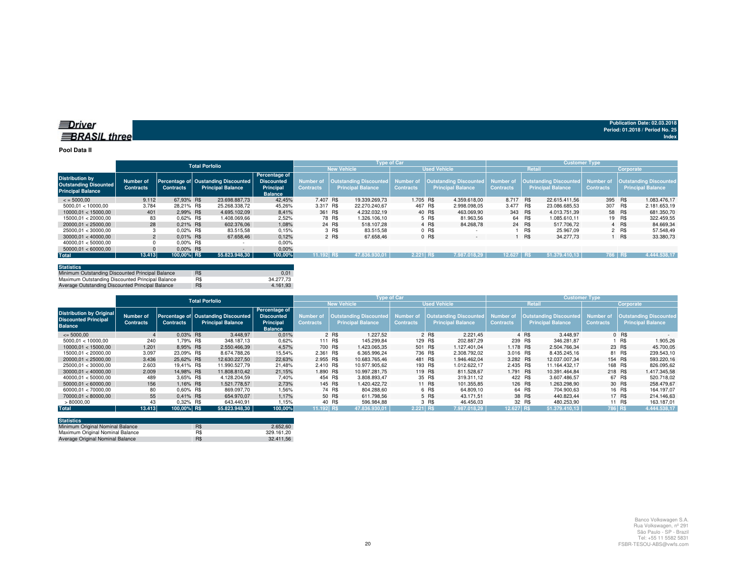#### **Pool Data II**

|                                                                                    |                               |                  | <b>Total Porfolio</b>                                           |                                                                   |                                      |                                                    | <b>Type of Car</b> |                  |                                                                            |                  |            | <b>Customer Type</b>                                         |                  |           |                                                            |
|------------------------------------------------------------------------------------|-------------------------------|------------------|-----------------------------------------------------------------|-------------------------------------------------------------------|--------------------------------------|----------------------------------------------------|--------------------|------------------|----------------------------------------------------------------------------|------------------|------------|--------------------------------------------------------------|------------------|-----------|------------------------------------------------------------|
|                                                                                    |                               |                  |                                                                 |                                                                   |                                      | <b>New Vehicle</b>                                 |                    |                  | <b>Used Vehicle</b>                                                        |                  | Retail     |                                                              |                  | Corporate |                                                            |
| <b>Distribution by</b><br><b>Outstanding Disounted</b><br><b>Principal Balance</b> | Number of<br><b>Contracts</b> | <b>Contracts</b> | Percentage of Oustanding Discounted<br><b>Principal Balance</b> | Percentage of<br><b>Discounted</b><br>Principal<br><b>Balance</b> | <b>Number of</b><br><b>Contracts</b> | Outstanding Discounted<br><b>Principal Balance</b> |                    | <b>Contracts</b> | Number of   Outstanding Discounted   Number of<br><b>Principal Balance</b> | <b>Contracts</b> |            | Outstanding Discounted Number of<br><b>Principal Balance</b> | <b>Contracts</b> |           | <b>Outstanding Discounted,</b><br><b>Principal Balance</b> |
| $\le$ = 5000.00                                                                    | 9.112                         | 67.93% R\$       | 23.698.887.73                                                   | 42.45%                                                            | 7.407 R\$                            |                                                    | 19.339.269.73      | 1.705 R\$        | 4.359.618.00                                                               | 8.717 R\$        |            | 22.615.411.56                                                | 395 R\$          |           | 1.083.476.17                                               |
| 5000.01 < 10000.00                                                                 | 3.784                         | 28.21% R\$       | 25.268.338.72                                                   | 45.26%                                                            | 3.317 R\$                            |                                                    | 22.270.240.67      | 467 R\$          | 2.998.098.05                                                               | 3.477            | R\$        | 23.086.685.53                                                | 307              | R\$       | 2.181.653.19                                               |
| 10000.01 < 15000.00                                                                | 401                           | 2.99% R\$        | 4.695.102.09                                                    | 8.41%                                                             | 361 R\$                              |                                                    | 4.232.032.19       |                  | 40 R\$<br>463.069.90                                                       |                  | 343 R\$    | 4.013.751.39                                                 |                  | 58 R\$    | 681.350,70                                                 |
| 15000.01 < 20000.00                                                                | 83                            | 0.62% R\$        | 1.408.069.66                                                    | 2.52%                                                             |                                      | 78 R\$                                             | 1.326.106.10       |                  | 5 R\$<br>81.963.56                                                         |                  | 64 R\$     | 1.085.610.11                                                 |                  | 19 R\$    | 322.459.55                                                 |
| 20000.01 < 25000.00                                                                | 28                            | $0.21\%$ R\$     | 602.376.06                                                      | 1.08%                                                             |                                      | 24 R\$                                             | 518.107.28         |                  | 4 R\$<br>84.268.78                                                         |                  | 24 R\$     | 517.706.72                                                   |                  | 4 R\$     | 84.669.34                                                  |
| 25000.01 < 30000.00                                                                |                               | 0.02% R\$        | 83.515,58                                                       | 0.15%                                                             |                                      | 3 R\$                                              | 83.515.58          |                  | $0$ R\$                                                                    |                  | R\$        | 25.967.09                                                    |                  | 2 R\$     | 57.548.49                                                  |
| 30000.01 < 40000.00                                                                | $\overline{2}$                | $0.01\%$ R\$     | 67.658.46                                                       | 0.12%                                                             |                                      | 2 R\$                                              | 67.658.46          |                  | 0 R\$<br>$\overline{\phantom{a}}$                                          |                  | R\$        | 34,277,73                                                    |                  | ∣ R\$     | 33.380,73                                                  |
| 40000.01 < 50000.00                                                                |                               | $0.00\%$ R\$     |                                                                 | 0,00%                                                             |                                      |                                                    |                    |                  |                                                                            |                  |            |                                                              |                  |           |                                                            |
| 50000.01 < 60000.00                                                                |                               | $0.00\%$ R\$     |                                                                 | 0.00%                                                             |                                      |                                                    |                    |                  |                                                                            |                  |            |                                                              |                  |           |                                                            |
| <b>Total</b>                                                                       | 13.413                        | 100,00% R\$      | 55.823.948.30                                                   | 100,00%                                                           | 11.192 R\$                           |                                                    | 47.836.930.01      | 2.221 RS         | 7.987.018.29                                                               | 12.627           | <b>IRS</b> | 51.379.410.13                                                | 786 RS           |           | 4.444.538.17                                               |

| <b>Statistics</b>                                |     |           |
|--------------------------------------------------|-----|-----------|
| Minimum Outstanding Discounted Principal Balance | R\$ | 0.01      |
| Maximum Outstanding Discounted Principal Balance | R\$ | 34,277,73 |
| Average Outstanding Discounted Principal Balance | R\$ | 4.161.93  |

|                                                                                  |                               |                  | <b>Total Porfolio</b>                                           |                                                                   |                               |                                                    | <b>Type of Car</b>            |                                                           |                                      |                                                           | <b>Customer Type</b>                 |                                                           |
|----------------------------------------------------------------------------------|-------------------------------|------------------|-----------------------------------------------------------------|-------------------------------------------------------------------|-------------------------------|----------------------------------------------------|-------------------------------|-----------------------------------------------------------|--------------------------------------|-----------------------------------------------------------|--------------------------------------|-----------------------------------------------------------|
|                                                                                  |                               |                  |                                                                 |                                                                   |                               | <b>New Vehicle</b>                                 |                               | <b>Used Vehicle</b>                                       |                                      | Retail                                                    |                                      | Corporate                                                 |
| <b>Distribution by Original</b><br><b>Discounted Principal</b><br><b>Balance</b> | Number of<br><b>Contracts</b> | <b>Contracts</b> | Percentage of Oustanding Discounted<br><b>Principal Balance</b> | Percentage of<br><b>Discounted</b><br>Principal<br><b>Balance</b> | Number of<br><b>Contracts</b> | Outstanding Discounted<br><b>Principal Balance</b> | Number of<br><b>Contracts</b> | <b>Outstanding Discounted</b><br><b>Principal Balance</b> | <b>Number of</b><br><b>Contracts</b> | <b>Outstanding Discounted</b><br><b>Principal Balance</b> | <b>Number of</b><br><b>Contracts</b> | <b>Outstanding Discounted</b><br><b>Principal Balance</b> |
| $\leq$ 5000.00                                                                   |                               | $0.03\%$ R\$     | 3.448.97                                                        | 0.01%                                                             |                               | 1.227.52<br>2 R\$                                  |                               | 2 R\$<br>2.221.45                                         |                                      | 4 R\$<br>3.448.97                                         |                                      | 0 R\$                                                     |
| 5000.01 < 10000.00                                                               | 240                           | .79% R\$         | 348.187.13                                                      | 0,62%                                                             | 111 R\$                       | 145.299.84                                         | 129 R\$                       | 202.887.29                                                | 239 R\$                              | 346.281.87                                                |                                      | <b>R\$</b><br>1.905,26                                    |
| 10000.01 < 15000.00                                                              | 1.201                         | 8.95% R\$        | 2.550.466.39                                                    | 4,57%                                                             | 700 R\$                       | 1.423.065.35                                       | 501 R\$                       | 1.127.401.04                                              | 1.178 R\$                            | 2.504.766.34                                              |                                      | 23 R\$<br>45.700.05                                       |
| 15000.01 < 20000.00                                                              | 3.097                         | 23.09% R\$       | 8.674.788.26                                                    | 15,54%                                                            | 2.361 R\$                     | 6.365.996.24                                       | 736 R\$                       | 2.308.792.02                                              | 3.016 R\$                            | 8.435.245.16                                              |                                      | 81 R\$<br>239.543,10                                      |
| 20000.01 < 25000.00                                                              | 3.436                         | 25.62% R\$       | 12.630.227.50                                                   | 22,63%                                                            | 2.955 R\$                     | 10.683.765.46                                      | 481 R\$                       | 1.946.462.04                                              | 3.282 R\$                            | 12.037.007.34                                             | 154 R\$                              | 593.220.16                                                |
| 25000.01 < 30000.00                                                              | 2.603                         | 19.41% R\$       | 11.990.527.79                                                   | 21.48%                                                            | 2.410 R\$                     | 10.977.905.62                                      | 193 R\$                       | 1.012.622.17                                              | 2.435 R\$                            | 11.164.432.17                                             | 168 R\$                              | 826.095.62                                                |
| 30000.01 < 40000.00                                                              | 2.009                         | 14.98% R\$       | 11.808.810.42                                                   | 21.15%                                                            | 1.890 R\$                     | 10.997.281.75                                      | 119 R\$                       | 811.528.67                                                | 1.791 R\$                            | 10.391.464.84                                             | 218 R\$                              | 1.417.345,58                                              |
| 40000.01 < 50000.00                                                              | 489                           | 3.65% R\$        | 4.128.204.59                                                    | 7,40%                                                             | 454 R\$                       | 3.808.893.47                                       |                               | 35 R\$<br>319.311.12                                      | 422 R\$                              | 3.607.486.57                                              |                                      | 67 R\$<br>520.718.02                                      |
| 50000.01 < 60000.00                                                              | 156                           | 1.16% R\$        | 1.521.778.57                                                    | 2,73%                                                             | 145 R\$                       | 1.420.422.72                                       |                               | 101.355.85<br>11 R\$                                      |                                      | 126 R\$<br>.263.298.90                                    |                                      | 30 R\$<br>258.479,67                                      |
| 60000.01 < 70000.00                                                              | 80                            | $0.60\%$ R\$     | 869.097.70                                                      | 1.56%                                                             |                               | 74 R\$<br>804.288.60                               |                               | 6 R\$<br>64.809.10                                        |                                      | 64 R\$<br>704.900.63                                      |                                      | 16 R\$<br>164.197.07                                      |
| 70000.01 < 80000.00                                                              | 55                            | $0.41\%$ R\$     | 654.970.07                                                      | 1.17%                                                             |                               | 50 R\$<br>611.798.56                               |                               | 5 R\$<br>43.171.51                                        |                                      | 38 R\$<br>440.823.44                                      |                                      | 17 R\$<br>214.146,63                                      |
| >80000,00                                                                        | 43                            | $0.32\%$ R\$     | 643.440.91                                                      | 1.15%                                                             |                               | 40 R\$<br>596.984.88                               |                               | 3 R\$<br>46.456.03                                        |                                      | 32 R\$<br>480.253,90                                      |                                      | 11 R\$<br>163.187,01                                      |
| <b>Total</b>                                                                     | 13.413                        | 100.00% R\$      | 55.823.948.30                                                   | 100,00%                                                           | 11.192 RS                     | 47.836.930.01                                      | 2.221 RS                      | 7.987.018.29                                              | 12.627 RS                            | 51.379.410.13                                             | 786 R\$                              | 4.444.538,17                                              |

| <b>Statistics</b>                |     |            |
|----------------------------------|-----|------------|
| Minimum Original Nominal Balance | R\$ | 2.652.60   |
| Maximum Original Nominal Balance | R\$ | 329.161.20 |
| Average Original Nominal Balance | R\$ | 32.411.56  |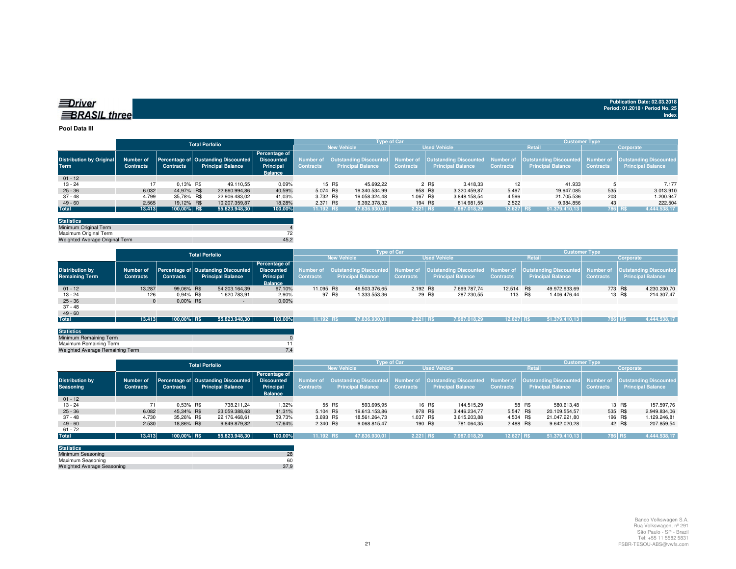| ≡Driver             |  |
|---------------------|--|
| <b>BRASIL three</b> |  |

#### **Pool Data III**

|                                         |                               | <b>Total Porfolio</b> |  |                                                                              | <b>Type of Car</b>                           |                    |        |                          |                     |       |                          | <b>Customer Type</b> |                          |                  |                                                                                                                                                                         |  |  |
|-----------------------------------------|-------------------------------|-----------------------|--|------------------------------------------------------------------------------|----------------------------------------------|--------------------|--------|--------------------------|---------------------|-------|--------------------------|----------------------|--------------------------|------------------|-------------------------------------------------------------------------------------------------------------------------------------------------------------------------|--|--|
|                                         |                               |                       |  |                                                                              |                                              | <b>New Vehicle</b> |        |                          | <b>Used Vehicle</b> |       |                          |                      | <b>Retail</b>            | Corporate        |                                                                                                                                                                         |  |  |
| <b>Distribution by Original</b><br>Term | Number of<br><b>Contracts</b> | <b>Contracts</b>      |  | Percentage of Oustanding Discounted   Discounted<br><b>Principal Balance</b> | Percentage of<br>Principal<br><b>Balance</b> | <b>Contracts</b>   |        | <b>Principal Balance</b> | <b>Contracts</b>    |       | <b>Principal Balance</b> | <b>Contracts</b>     | <b>Principal Balance</b> | <b>Contracts</b> | Number of  Outstanding Discounted  Number of  Outstanding Discounted  Number of  Outstanding Discounted  Number of  Outstanding Discounted <br><b>Principal Balance</b> |  |  |
| $01 - 12$                               |                               |                       |  |                                                                              |                                              |                    |        |                          |                     |       |                          |                      |                          |                  |                                                                                                                                                                         |  |  |
| $13 - 24$                               |                               | $0.13\%$ R\$          |  | 49.110.55                                                                    | 0,09%                                        |                    | 15 R\$ | 45.692.22                |                     | 2 R\$ | 3.418.33                 | 12                   | 41.933                   |                  | 7.177                                                                                                                                                                   |  |  |
| $25 - 36$                               | 6.032                         | 44.97% R\$            |  | 22.660.994.86                                                                | 40,59%                                       | 5.074 R\$          |        | 19.340.534.99            | 958 R\$             |       | 3.320.459.87             | 5.497                | 19.647.085               | 535              | 3.013.910                                                                                                                                                               |  |  |
| 37 - 48                                 | 4.799                         | 35.78% R\$            |  | 22.906.483.02                                                                | 41.03%                                       | 3.732 R\$          |        | 19.058.324.48            | 1.067 R\$           |       | 3.848.158.54             | 4.596                | 21.705.536               | 203              | 1.200.947                                                                                                                                                               |  |  |
| $49 - 60$                               | 2.565                         | 19.12% R\$            |  | 10.207.359.87                                                                | 18.28%                                       | 2.371 R\$          |        | 9.392.378.32             | 194 R\$             |       | 814.981.55               | 2.522                | 9.984.856                | 43               | 222.504                                                                                                                                                                 |  |  |
| <b>Total</b>                            | 13.413                        | 100,00% R\$           |  | 55.823.948,30                                                                | 100,00%                                      | 11.192 R\$         |        | 47.836.930.01            | $2.221$ R\$         |       | 7.987.018,29             | 12.627 R\$           | 51.379.410.13            |                  | 786 R\$<br>4.444.538,17                                                                                                                                                 |  |  |

| <b>Statistics</b>              |      |
|--------------------------------|------|
| Minimum Original Term          |      |
| Maximum Original Term          |      |
| Weighted Average Original Term | 45.2 |

|                        |                  |                  | <b>Total Porfolio</b> |                                     |                   | <b>Type of Car</b> |        |                                  |                     |        |                                  | <b>Customer Type</b> |  |                                  |                  |        |                          |
|------------------------|------------------|------------------|-----------------------|-------------------------------------|-------------------|--------------------|--------|----------------------------------|---------------------|--------|----------------------------------|----------------------|--|----------------------------------|------------------|--------|--------------------------|
|                        |                  |                  |                       |                                     |                   | <b>New Vehicle</b> |        |                                  | <b>Used Vehicle</b> |        |                                  | Retail               |  |                                  | Corporate        |        |                          |
|                        |                  |                  |                       |                                     | Percentage of     |                    |        |                                  |                     |        |                                  |                      |  |                                  |                  |        |                          |
| <b>Distribution by</b> | Number of        |                  |                       | Percentage of Oustanding Discounted | <b>Discounted</b> | Number of          |        | Outstanding Discounted Number of |                     |        | Outstanding Discounted Number of |                      |  | Outstanding Discounted Number of |                  |        | Outstanding Discounted   |
| <b>Remaining Term</b>  | <b>Contracts</b> | <b>Contracts</b> |                       | <b>Principal Balance</b>            | Principal         | <b>Contracts</b>   |        | <b>Principal Balance</b>         | <b>Contracts</b>    |        | <b>Principal Balance</b>         | <b>Contracts</b>     |  | <b>Principal Balance</b>         | <b>Contracts</b> |        | <b>Principal Balance</b> |
|                        |                  |                  |                       |                                     | <b>Balance</b>    |                    |        |                                  |                     |        |                                  |                      |  |                                  |                  |        |                          |
| $01 - 12$              | 13.287           | 99.06% R\$       |                       | 54.203.164,39                       | 97,10%            | 11.095 R\$         |        | 46.503.376.65                    | 2.192 R\$           |        | 7.699.787.74                     | 12.514 R\$           |  | 49.972.933.69                    | 773 R\$          |        | 4.230.230,70             |
| $13 - 24$              | 126              | 0.94% R\$        |                       | 1.620.783,91                        | 2,90%             |                    | 97 R\$ | 1.333.553,36                     |                     | 29 R\$ | 287.230,55                       | 113 R\$              |  | 1.406.476.44                     |                  | 13 R\$ | 214.307,47               |
| $25 - 36$              | $\Omega$         | $0.00\%$ R\$     |                       | $\sim$                              | 0,00%             |                    |        |                                  |                     |        |                                  |                      |  |                                  |                  |        |                          |
| 37 - 48                |                  |                  |                       |                                     |                   |                    |        |                                  |                     |        |                                  |                      |  |                                  |                  |        |                          |
| $49 - 60$              |                  |                  |                       |                                     |                   |                    |        |                                  |                     |        |                                  |                      |  |                                  |                  |        |                          |
| Total                  | 13.413           | 100,00% R\$      |                       | 55.823.948,30                       | 100,00%           | 11.192 RS          |        | 47.836.930.01                    | $2.221$ RS          |        | 7.987.018.29                     | 12.627 R\$           |  | 51.379.410.13                    | 786 R\$          |        | 4.444.538,17             |
|                        |                  |                  |                       |                                     |                   |                    |        |                                  |                     |        |                                  |                      |  |                                  |                  |        |                          |

| <b>Statistics</b>               |  |
|---------------------------------|--|
| Minimum Remaining Term          |  |
| Maximum Remaining Term          |  |
| Weighted Average Remaining Term |  |
|                                 |  |

|                                            |                               |                  | <b>Total Porfolio</b>                                           |                                                                          |                               |                          | <b>Type of Car</b> |                                                                                                     | <b>Customer Type</b> |                                                                     |                  |                                                    |  |  |
|--------------------------------------------|-------------------------------|------------------|-----------------------------------------------------------------|--------------------------------------------------------------------------|-------------------------------|--------------------------|--------------------|-----------------------------------------------------------------------------------------------------|----------------------|---------------------------------------------------------------------|------------------|----------------------------------------------------|--|--|
|                                            |                               |                  |                                                                 |                                                                          |                               | <b>New Vehicle</b>       |                    | <b>Used Vehicle</b>                                                                                 |                      | <b>Retail</b>                                                       | Corporate        |                                                    |  |  |
| <b>Distribution by</b><br><b>Seasoning</b> | Number of<br><b>Contracts</b> | <b>Contracts</b> | Percentage of Oustanding Discounted<br><b>Principal Balance</b> | <b>Percentage of</b><br><b>Discounted</b><br>Principal<br><b>Balance</b> | Number of<br><b>Contracts</b> | <b>Principal Balance</b> | <b>Contracts</b>   | Outstanding Discounted   Number of   Outstanding Discounted   Number of<br><b>Principal Balance</b> | <b>Contracts</b>     | <b>Outstanding Discounted</b> Number of<br><b>Principal Balance</b> | <b>Contracts</b> | Outstanding Discounted<br><b>Principal Balance</b> |  |  |
| $01 - 12$                                  |                               |                  |                                                                 |                                                                          |                               |                          |                    |                                                                                                     |                      |                                                                     |                  |                                                    |  |  |
| $13 - 24$                                  |                               | $0.53\%$ R\$     | 738.211.24                                                      | 1,32%                                                                    |                               | 55 R\$<br>593.695,95     |                    | 16 R\$<br>144.515.29                                                                                |                      | 58 R\$<br>580.613.48                                                | 13 R\$           | 157.597,76                                         |  |  |
| $25 - 36$                                  | 6.082                         | 45.34% R\$       | 23.059.388,63                                                   | 41.31%                                                                   | 5.104 R\$                     | 19.613.153.86            | 978 R\$            | 3.446.234.77                                                                                        | 5.547 R\$            | 20.109.554.57                                                       | 535 R\$          | 2.949.834,06                                       |  |  |
| $37 - 48$                                  | 4.730                         | 35.26% R\$       | 22.176.468,61                                                   | 39,73%                                                                   | 3.693 R\$                     | 18.561.264.73            | 1.037 R\$          | 3.615.203,88                                                                                        | 4.534 R\$            | 21.047.221.80                                                       | 196 R\$          | 1.129.246,81                                       |  |  |
| $49 - 60$                                  | 2.530                         | 18,86% R\$       | 9.849.879,82                                                    | 17,64%                                                                   | 2.340 R\$                     | 9.068.815,47             | 190 R\$            | 781.064,35                                                                                          | 2.488 R\$            | 9.642.020.28                                                        | 42 R\$           | 207.859,54                                         |  |  |
| $61 - 72$                                  |                               |                  |                                                                 |                                                                          |                               |                          |                    |                                                                                                     |                      |                                                                     |                  |                                                    |  |  |
| <b>Total</b>                               | 13.413                        | 100,00% R\$      | 55.823.948,30                                                   | 100,00%                                                                  | 11.192 R\$                    | 47.836.930,01            | $2.221$ RS         | 7.987.018.29                                                                                        | 12.627 RS            | 51.379.410.13                                                       | 786 R\$          | 4.444.538,17                                       |  |  |
|                                            |                               |                  |                                                                 |                                                                          |                               |                          |                    |                                                                                                     |                      |                                                                     |                  |                                                    |  |  |

| <b>Statistics</b>                 |      |
|-----------------------------------|------|
| Minimum Seasoning                 | 28   |
| Maximum Seasoning                 | 60   |
| <b>Weighted Average Seasoning</b> | 37.9 |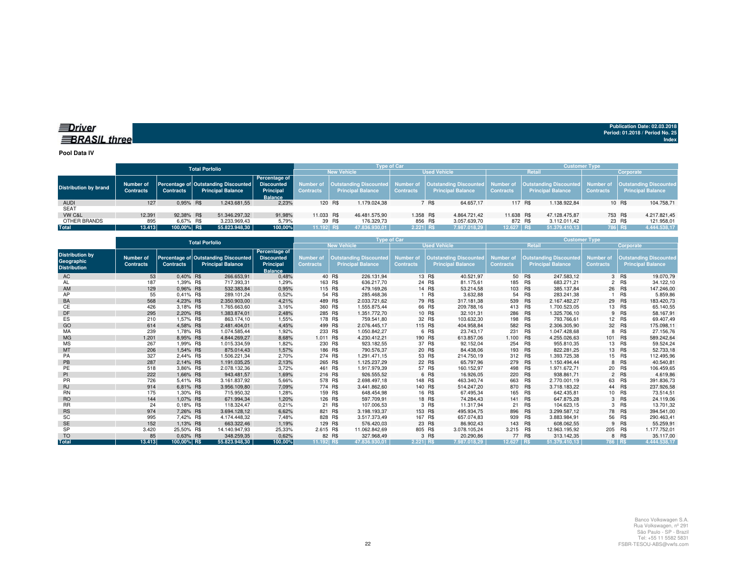### *<u>IDriver</u>* **BRASIL** three

**Publication Date: 02.03.2018Period: 01.2018 / Period No. 25 Index**

**Pool Data IV**

|                              |                                      |                  | <b>Total Porfolio</b>                                                       |                                                     | <b>Type of Car</b> |         |                          |                     |       |                          | <b>Customer Type</b> |  |                          |                  |                                                                                                                                                                         |  |
|------------------------------|--------------------------------------|------------------|-----------------------------------------------------------------------------|-----------------------------------------------------|--------------------|---------|--------------------------|---------------------|-------|--------------------------|----------------------|--|--------------------------|------------------|-------------------------------------------------------------------------------------------------------------------------------------------------------------------------|--|
|                              |                                      |                  |                                                                             |                                                     | <b>New Vehicle</b> |         |                          | <b>Used Vehicle</b> |       |                          | Retail               |  |                          | Corporate        |                                                                                                                                                                         |  |
| <b>Distribution by brand</b> | <b>Number of</b><br><b>Contracts</b> | <b>Contracts</b> | Percentage of Outstanding Discounted Discounted<br><b>Principal Balance</b> | <b>Percentage of</b><br>Principal<br><b>Balance</b> | <b>Contracts</b>   |         | <b>Principal Balance</b> | <b>Contracts</b>    |       | <b>Principal Balance</b> | <b>Contracts</b>     |  | <b>Principal Balance</b> | <b>Contracts</b> | Number of  Outstanding Discounted  Number of  Outstanding Discounted  Number of  Outstanding Discounted  Number of  Outstanding Discounted <br><b>Principal Balance</b> |  |
| <b>AUDI</b>                  | 127                                  | 0.95% R\$        | 1.243.681.55                                                                | 2.23%                                               |                    | 120 R\$ | 1.179.024.38             |                     | 7 R\$ | 64.657.17                | 117 R\$              |  | .138.922.84              |                  | 104.758.71<br>10 R\$                                                                                                                                                    |  |
| <b>SEAT</b>                  |                                      |                  |                                                                             |                                                     |                    |         |                          |                     |       |                          |                      |  |                          |                  |                                                                                                                                                                         |  |
| VW C&L                       | 12.391                               | 92.38% R\$       | 51.346.297.32                                                               | 91.98%                                              | 11.033 R\$         |         | 46.481.575.90            | 1.358 R\$           |       | 4.864.721.42             | 11.638 R\$           |  | 47.128.475.87            |                  | 753 R\$<br>4.217.821,45                                                                                                                                                 |  |
| OTHER BRANDS                 | 895                                  | 6.67% R\$        | 3.233.969.43                                                                | 5,79%                                               |                    | 39 R\$  | 176.329.73               | 856 R\$             |       | 3.057.639,70             | 872 R\$              |  | 3.112.011.42             |                  | 23 R\$<br>121.958,01                                                                                                                                                    |  |
| Total                        | 13.413                               | 100.00% R\$      | 55.823.948,30                                                               | 100.00%                                             | 11.192 RS          |         | 47.836.930.01            | $2.221$ R\$         |       | 7.987.018.29             | $12.627$ RS          |  | 51.379.410.13            | 786 R\$          | 4.444.538,17                                                                                                                                                            |  |

|                                                             |                               |                  | <b>Total Porfolio</b>                                            |                                                                   |                                      | Type of Car                                               |                                      | <b>Customer Type</b> |                                                           |                               |         |                                                           |                                      |            |                                                           |
|-------------------------------------------------------------|-------------------------------|------------------|------------------------------------------------------------------|-------------------------------------------------------------------|--------------------------------------|-----------------------------------------------------------|--------------------------------------|----------------------|-----------------------------------------------------------|-------------------------------|---------|-----------------------------------------------------------|--------------------------------------|------------|-----------------------------------------------------------|
|                                                             |                               |                  |                                                                  |                                                                   |                                      | <b>New Vehicle</b>                                        |                                      |                      | <b>Used Vehicle</b>                                       |                               | Retail  |                                                           |                                      | Corporate  |                                                           |
| <b>Distribution by</b><br>Geographic<br><b>Distribution</b> | Number of<br><b>Contracts</b> | <b>Contracts</b> | Percentage of Outstanding Discounted<br><b>Principal Balance</b> | Percentage of<br><b>Discounted</b><br>Principal<br><b>Balance</b> | <b>Number of</b><br><b>Contracts</b> | <b>Outstanding Discounted</b><br><b>Principal Balance</b> | <b>Number of</b><br><b>Contracts</b> |                      | <b>Outstanding Discounted</b><br><b>Principal Balance</b> | Number of<br><b>Contracts</b> |         | <b>Outstanding Discounted</b><br><b>Principal Balance</b> | <b>Number of</b><br><b>Contracts</b> |            | <b>Outstanding Discounted</b><br><b>Principal Balance</b> |
| AC                                                          | 53                            | 0.40% R\$        | 266.653,91                                                       | 0,48%                                                             |                                      | 40 R\$<br>226.131,94                                      |                                      | 13 R\$               | 40.521,97                                                 |                               | 50 R\$  | 247.583,12                                                |                                      | 3 R\$      | 19.070,79                                                 |
| AL                                                          | 187                           | 1,39% R\$        | 717.393,31                                                       | 1,29%                                                             |                                      | 163 R\$<br>636.217,70                                     |                                      | 24 R\$               | 81.175,61                                                 | 185                           | R\$     | 683.271,21                                                |                                      | 2 R\$      | 34.122,10                                                 |
| AM                                                          | 129                           | 0.96% R\$        | 532.383,84                                                       | 0,95%                                                             | 115 R\$                              | 479.169.26                                                |                                      | 14 R\$               | 53.214.58                                                 | 103 R\$                       |         | 385.137.84                                                |                                      | 26 R\$     | 147.246,00                                                |
| AP                                                          | 55                            | 0.41% R\$        | 289.101,24                                                       | 0,52%                                                             |                                      | 54 R\$<br>285.468.36                                      |                                      | R\$                  | 3.632,88                                                  | 54                            | R\$     | 283.241.38                                                |                                      | <b>R\$</b> | 5.859,86                                                  |
| BA                                                          | 568                           | 4,23% R\$        | 2.350.903,00                                                     | 4,21%                                                             | 489 R\$                              | 2.033.721,62                                              |                                      | 79 R\$               | 317.181,38                                                | 539 R\$                       |         | 2.167.482,27                                              |                                      | 29 R\$     | 183.420,73                                                |
| CЕ                                                          | 426                           | 3,18% R\$        | 1.765.663,60                                                     | 3,16%                                                             | 360 R\$                              | 1.555.875,44                                              |                                      | 66 R\$               | 209.788,16                                                | 413 R\$                       |         | 1.700.523,05                                              |                                      | 13 R\$     | 65.140,55                                                 |
| DF                                                          | 295                           | 2.20% R\$        | 1.383.874.01                                                     | 2,48%                                                             | 285 R\$                              | 1.351.772.70                                              |                                      | 10 R\$               | 32.101,31                                                 | 286 R\$                       |         | 1.325.706.10                                              |                                      | 9 R\$      | 58.167,91                                                 |
| ES                                                          | 210                           | 1.57% R\$        | 863.174.10                                                       | 1.55%                                                             |                                      | 178 R\$<br>759.541.80                                     |                                      | 32 R\$               | 103.632,30                                                |                               | 198 R\$ | 793.766.61                                                |                                      | 12 R\$     | 69.407,49                                                 |
| GO                                                          | 614                           | 4.58% R\$        | 2.481.404.01                                                     | 4,45%                                                             |                                      | 499 R\$<br>2.076.445.17                                   |                                      | 115 R\$              | 404.958,84                                                | 582 R\$                       |         | 2.306.305.90                                              |                                      | 32 R\$     | 175.098,11                                                |
| MA                                                          | 239                           | 1.78% R\$        | 1.074.585.44                                                     | 1,92%                                                             | 233 R\$                              | 1.050.842,27                                              |                                      | 6 R\$                | 23.743,17                                                 | 231                           | R\$     | 1.047.428,68                                              | 8                                    | R\$        | 27.156,76                                                 |
| <b>MG</b>                                                   | 1.201                         | 8.95% R\$        | 4.844.269.27                                                     | 8,68%                                                             | 1.011 R\$                            | 4.230.412.21                                              |                                      | 190 R\$              | 613.857.06                                                | 1.100 R\$                     |         | 4.255.026.63                                              | 101 R\$                              |            | 589.242,64                                                |
| <b>MS</b>                                                   | 267                           | 1,99% R\$        | 1.015.334,59                                                     | 1,82%                                                             | 230 R\$                              | 923.182,55                                                |                                      | 37 R\$               | 92.152,04                                                 | 254 R\$                       |         | 955.810.35                                                |                                      | 13 R\$     | 59.524,24                                                 |
| MT                                                          | 206                           | 1,54% R\$        | 875.014,43                                                       | 1,57%                                                             | 186 R\$                              | 790.576,37                                                |                                      | 20 R\$               | 84.438,06                                                 | 193 R\$                       |         | 822.281,25                                                |                                      | 13 R\$     | 52.733,18                                                 |
| PA                                                          | 327                           | 2,44% R\$        | 1.506.221.34                                                     | 2,70%                                                             | 274 R\$                              | 1.291.471,15                                              |                                      | 53 R\$               | 214.750,19                                                | 312                           | R\$     | 1.393.725,38                                              |                                      | 15 R\$     | 112.495,96                                                |
| PB                                                          | 287                           | 2,14% R\$        | 1.191.035,25                                                     | 2,13%                                                             | 265 R\$                              | 1.125.237,29                                              |                                      | 22 R\$               | 65.797,96                                                 | 279 R\$                       |         | 1.150.494,44                                              |                                      | 8 R\$      | 40.540,81                                                 |
| PE                                                          | 518                           | 3.86% R\$        | 2.078.132,36                                                     | 3,72%                                                             | 461 R\$                              | 1.917.979.39                                              |                                      | 57 R\$               | 160.152,97                                                | 498 R\$                       |         | 1.971.672,71                                              |                                      | 20 R\$     | 106.459,65                                                |
| PI                                                          | 222                           | 1.66% R\$        | 943.481.57                                                       | 1,69%                                                             | 216 R\$                              | 926.555.52                                                |                                      | 6 R\$                | 16.926,05                                                 | 220 R\$                       |         | 938.861.71                                                |                                      | 2 R\$      | 4.619,86                                                  |
| <b>PR</b>                                                   | 726                           | 5.41% R\$        | 3.161.837.92                                                     | 5,66%                                                             |                                      | 2.698.497.18<br>578 R\$                                   |                                      | 148 R\$              | 463.340,74                                                | 663 R\$                       |         | 2.770.001.19                                              |                                      | 63 R\$     | 391.836,73                                                |
| <b>RJ</b>                                                   | 914                           | 6,81% R\$        | 3.956.109,80                                                     | 7,09%                                                             |                                      | 774 R\$<br>3.441.862,60                                   |                                      | 140 R\$              | 514.247,20                                                | 870 R\$                       |         | 3.718.183,22                                              |                                      | 44 R\$     | 237.926,58                                                |
| <b>RN</b>                                                   | 175                           | 1,30% R\$        | 715.950,32                                                       | 1,28%                                                             |                                      | 159 R\$<br>648.454,98                                     |                                      | 16 R\$               | 67.495,34                                                 |                               | 165 R\$ | 642.435,81                                                |                                      | 10 R\$     | 73.514,51                                                 |
| <b>RO</b>                                                   | 144                           | 1,07% R\$        | 671.994,34                                                       | 1,20%                                                             |                                      | 126 R\$<br>597.709.91                                     |                                      | 18 R\$               | 74.284.43                                                 | 141 R\$                       |         | 647.875.28                                                |                                      | 3 R\$      | 24.119,06                                                 |
| <b>RR</b>                                                   | 24                            | 0.18% R\$        | 118.324,47                                                       | 0,21%                                                             |                                      | 21 R\$<br>107.006,53                                      |                                      | 3 R\$                | 11.317,94                                                 | 21                            | R\$     | 104.623,15                                                | 3                                    | R\$        | 13.701,32                                                 |
| <b>RS</b>                                                   | 974                           | 7,26% R\$        | 3.694.128.12                                                     | 6,62%                                                             | 821 R\$                              | 3.198.193.37                                              |                                      | 153 R\$              | 495.934,75                                                | 896 R\$                       |         | 3.299.587,12                                              |                                      | 78 R\$     | 394.541,00                                                |
| SC                                                          | 995                           | 7.42% R\$        | 4.174.448.32                                                     | 7,48%                                                             |                                      | 828 R\$<br>3.517.373,49                                   |                                      | 167 R\$              | 657.074.83                                                | 939                           | R\$     | 3.883.984,91                                              | 56                                   | R\$        | 290.463,41                                                |
| <b>SE</b>                                                   | 152                           | 1.13% R\$        | 663.322.46                                                       | 1,19%                                                             |                                      | 129 R\$<br>576.420.03                                     |                                      | 23 R\$               | 86.902.43                                                 | 143 R\$                       |         | 608.062.55                                                |                                      | 9 R\$      | 55.259,91                                                 |
| <b>SP</b>                                                   | 3.420                         | 25.50% R\$       | 14.140.947.93                                                    | 25,33%                                                            | 2.615 R\$                            | 11.062.842.69                                             |                                      | 805 R\$              | 3.078.105.24                                              | 3.215 R\$                     |         | 12.963.195,92                                             | 205                                  | <b>R\$</b> | 1.177.752,01                                              |
| <b>TO</b>                                                   | 85                            | 0.63% R\$        | 348.259,35                                                       | 0,62%                                                             |                                      | 82 R\$<br>327.968,49                                      |                                      | 3 R\$                | 20.290,86                                                 |                               | 77 R\$  | 313.142.35                                                |                                      | 8 R\$      | 35.117,00                                                 |
| <b>Total</b>                                                | 13.413                        | 100,00% R\$      | 55.823.948.30                                                    | 100.00%                                                           | 11.192 RS                            | 47.836.930.01                                             | 2.221 RS                             |                      | 7.987.018.29                                              | 12.627 R\$                    |         | 51.379.410.13                                             | 786 RS                               |            | 4.444.538.17                                              |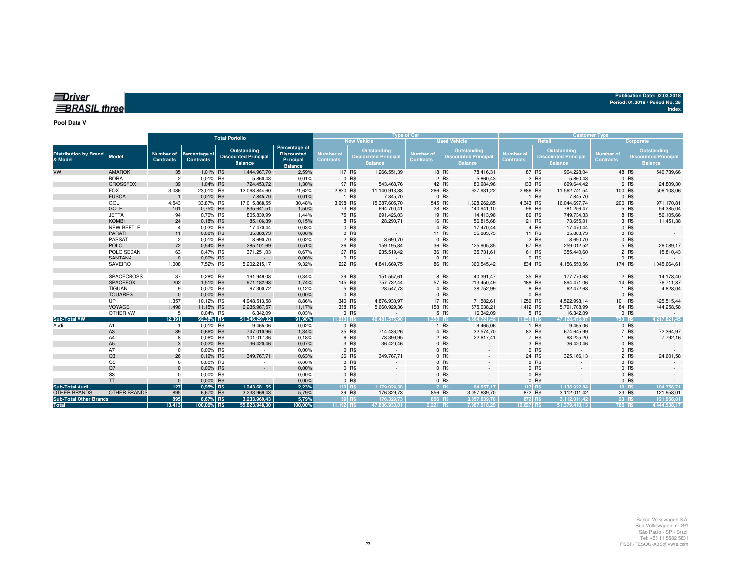| <b>EDriver</b>     |  |  |
|--------------------|--|--|
|                    |  |  |
|                    |  |  |
| $=$ RRASIL<br>reel |  |  |
|                    |  |  |

#### **Pool Data V**

|                                         |                     |                                      |                                   | <b>Total Porfolio</b>                                        |                                                                   | <b>Type of Car</b>                   |                                                                     |                                      |                                                             |            | <b>Customer Type</b>                 |                                                                     |                               |           |                                                              |
|-----------------------------------------|---------------------|--------------------------------------|-----------------------------------|--------------------------------------------------------------|-------------------------------------------------------------------|--------------------------------------|---------------------------------------------------------------------|--------------------------------------|-------------------------------------------------------------|------------|--------------------------------------|---------------------------------------------------------------------|-------------------------------|-----------|--------------------------------------------------------------|
|                                         |                     |                                      |                                   |                                                              |                                                                   |                                      | <b>New Vehicle</b>                                                  |                                      | <b>Used Vehicle</b>                                         |            |                                      | Retail                                                              |                               | Corporate |                                                              |
| <b>Distribution by Brand</b><br>& Model | Model               | <b>Number of</b><br><b>Contracts</b> | Percentage of<br><b>Contracts</b> | Outstanding<br><b>Discounted Principal</b><br><b>Balance</b> | Percentage of<br><b>Discounted</b><br>Principal<br><b>Balance</b> | <b>Number of</b><br><b>Contracts</b> | <b>Outstanding</b><br><b>Discounted Principal</b><br><b>Balance</b> | <b>Number of</b><br><b>Contracts</b> | Outstanding<br><b>Discounted Principa</b><br><b>Balance</b> |            | <b>Number of</b><br><b>Contracts</b> | <b>Outstanding</b><br><b>Discounted Principal</b><br><b>Balance</b> | Number of<br><b>Contracts</b> |           | Outstanding<br><b>Discounted Principal</b><br><b>Balance</b> |
| VW                                      | <b>AMAROK</b>       | 135                                  | 1,01% R\$                         | 1.444.967,70                                                 | 2,59%                                                             |                                      | 117 R\$<br>1.266.551,39                                             |                                      | 18 R\$                                                      | 178.416,31 |                                      | 87 R\$<br>904.228,04                                                |                               | 48 R\$    | 540.739,66                                                   |
|                                         | <b>BORA</b>         | $\overline{2}$                       | 0,01% R\$                         | 5.860,43                                                     | 0,01%                                                             |                                      | 0 R\$<br>$\sim$                                                     |                                      | 2 R\$                                                       | 5.860,43   |                                      | 2 R\$<br>5.860,43                                                   |                               | 0 R\$     |                                                              |
|                                         | <b>CROSSFOX</b>     | 139                                  | 1,04% R\$                         | 724.453,72                                                   | 1,30%                                                             |                                      | 97 R\$<br>543.468,76                                                |                                      | 42 R\$                                                      | 180.984,96 | 133 R\$                              | 699.644,42                                                          |                               | 6 R\$     | 24.809,30                                                    |
|                                         | <b>FOX</b>          | 3.086                                | 23,01% R\$                        | 12.068.844,60                                                | 21,62%                                                            | 2.820 R\$                            | 11.140.913,38                                                       |                                      | 266 R\$                                                     | 927.931,22 | 2.986 R\$                            | 11.562.741,54                                                       |                               | 100 R\$   | 506.103,06                                                   |
|                                         | <b>FUSCA</b>        |                                      | 0,01% R\$                         | 7.845,70                                                     | 0,01%                                                             |                                      | 1 R\$<br>7.845,70                                                   |                                      | 0 R\$                                                       |            |                                      | 1 R\$<br>7.845,70                                                   |                               | 0 R\$     |                                                              |
|                                         | GOL                 | 4.543                                | 33,87% R\$                        | 17.015.868,55                                                | 30,48%                                                            | 3.998 R\$                            | 15.387.605,70                                                       |                                      | 545 R\$<br>1.628.262,85                                     |            | 4.343 R\$                            | 16.044.697,74                                                       |                               | 200 R\$   | 971.170,81                                                   |
|                                         | <b>GOLF</b>         | 101                                  | 0,75% R\$                         | 835.641,51                                                   | 1,50%                                                             |                                      | 73 R\$<br>694.700,41                                                |                                      | 28 R\$                                                      | 140.941,10 |                                      | 96 R\$<br>781.256,47                                                |                               | 5 R\$     | 54.385,04                                                    |
|                                         | <b>JETTA</b>        | 94                                   | 0,70% R\$                         | 805.839,99                                                   | 1,44%                                                             |                                      | 75 R\$<br>691.426,03                                                |                                      | 19 R\$                                                      | 114.413,96 |                                      | 86 R\$<br>749.734,33                                                |                               | 8 R\$     | 56.105,66                                                    |
|                                         | <b>KOMBI</b>        | 24                                   | 0,18% R\$                         | 85.106,39                                                    | 0,15%                                                             |                                      | 8 R\$<br>28.290,71                                                  |                                      | 16 R\$                                                      | 56.815,68  |                                      | 21 R\$<br>73.655,01                                                 |                               | 3 R\$     | 11.451,38                                                    |
|                                         | <b>NEW BEETLE</b>   | $\overline{4}$                       | 0,03% R\$                         | 17.470,44                                                    | 0,03%                                                             |                                      | 0 R\$                                                               |                                      | 4 R\$                                                       | 17.470,44  |                                      | 4 R\$<br>17.470,44                                                  |                               | 0 R\$     |                                                              |
|                                         | <b>PARATI</b>       | 11                                   | 0.08% R\$                         | 35.883,73                                                    | 0.06%                                                             |                                      | 0 R\$<br>$\sim$                                                     |                                      | 11 R\$                                                      | 35.883,73  |                                      | 11 R\$<br>35.883,73                                                 |                               | 0 R\$     |                                                              |
|                                         | PASSAT              | $\overline{2}$                       | 0,01% R\$                         | 8.690,70                                                     | 0,02%                                                             |                                      | 8.690,70<br>2 R\$                                                   |                                      | 0 R\$                                                       |            |                                      | 2 R\$<br>8.690,70                                                   |                               | 0 R\$     |                                                              |
|                                         | <b>POLO</b>         | 72                                   | 0,54% R\$                         | 285.101,69                                                   | 0,51%                                                             |                                      | 36 R\$<br>159.195,84                                                |                                      | 36 R\$                                                      | 125.905,85 |                                      | 67 R\$<br>259.012,52                                                |                               | 5 R\$     | 26.089,17                                                    |
|                                         | POLO SEDAN          | 63                                   | 0.47% R\$                         | 371.251,03                                                   | 0,67%                                                             |                                      | 27 R\$<br>235.519,42                                                |                                      | 36 R\$                                                      | 135.731,61 |                                      | 61 R\$<br>355.440,60                                                |                               | 2 R\$     | 15.810,43                                                    |
|                                         | <b>SANTANA</b>      | $\Omega$                             | 0.00% R\$                         | $\sim$                                                       | 0,00%                                                             |                                      | 0 R\$<br>$\sim$                                                     |                                      | 0 R\$                                                       |            |                                      | 0 R\$                                                               |                               | 0 R\$     |                                                              |
|                                         | SAVEIRO             | 1.008                                | 7,52% R\$                         | 5.202.215,17                                                 | 9,32%                                                             |                                      | 922 R\$<br>4.841.669,75                                             |                                      | 86 R\$                                                      | 360.545,42 | 834 R\$                              | 4.156.550,56                                                        |                               | 174 R\$   | 1.045.664,61                                                 |
|                                         | SPACECROSS          | 37                                   | 0,28% R\$                         | 191.949,08                                                   | 0,34%                                                             |                                      | 29 R\$<br>151.557,61                                                |                                      | 8 R\$                                                       | 40.391,47  |                                      | 35 R\$<br>177.770,68                                                |                               | 2 R\$     | 14.178,40                                                    |
|                                         | <b>SPACEFOX</b>     | 202                                  | 1,51% R\$                         | 971.182,93                                                   | 1,74%                                                             |                                      | 145 R\$<br>757.732,44                                               |                                      | 57 R\$                                                      | 213.450,49 | 188 R\$                              | 894.471,06                                                          |                               | 14 R\$    | 76.711,87                                                    |
|                                         | <b>TIGUAN</b>       | 9                                    | 0.07% R\$                         | 67.300,72                                                    | 0,12%                                                             |                                      | 5 R\$<br>28.547,73                                                  |                                      | 4 R\$                                                       | 38.752,99  |                                      | 8 R\$<br>62.472,68                                                  |                               | 1 R\$     | 4.828,04                                                     |
|                                         | <b>TOUAREG</b>      | $\Omega$                             | 0.00% R\$                         | $\sim$                                                       | 0,00%                                                             |                                      | 0 R\$<br>$\sim$                                                     |                                      | 0 R\$                                                       | $\sim$     |                                      | 0 R\$                                                               | $\sim$                        | 0 R\$     |                                                              |
|                                         | <b>UP</b>           | 1.357                                | 10,12% R\$                        | 4.948.513,58                                                 | 8,86%                                                             | 1.340 R\$                            | 4.876.930,97                                                        |                                      | 17 R\$                                                      | 71.582,61  | 1.256 R\$                            | 4.522.998,14                                                        |                               | 101 R\$   | 425.515,44                                                   |
|                                         | VOYAGE              | 1.496                                | 11,15% R\$                        | 6.235.967,57                                                 | 11,17%                                                            | 1.338 R\$                            | 5.660.929,36                                                        |                                      | 158 R\$                                                     | 575.038,21 | 1.412 R\$                            | 5.791.708,99                                                        |                               | 84 R\$    | 444.258,58                                                   |
|                                         | OTHER VW            | 5                                    | 0.04% R\$                         | 16.342,09                                                    | 0,03%                                                             |                                      | 0 R\$<br>$\sim$                                                     |                                      | 5 R\$                                                       | 16.342,09  |                                      | 5 R\$<br>16.342,09                                                  |                               | 0 R\$     |                                                              |
| Sub-Total VW                            |                     | 12.391                               | 92,38% R\$                        | 51.346.297,32                                                | 91,98%                                                            | 11.033 RS                            | 46.481.575.90                                                       | 1.358 R\$                            | 4.864.721.42                                                |            | 11.638 RS                            | 47.128.475.87                                                       |                               | 753 R\$   | 4.217.821.45                                                 |
| Audi                                    | A1                  |                                      | 0.01% R\$                         | 9.465,06                                                     | 0,02%                                                             |                                      | 0 R\$                                                               |                                      | 1 R\$                                                       | 9.465,06   |                                      | 1 R\$<br>9.465,06                                                   |                               | 0 R\$     |                                                              |
|                                         | A <sub>3</sub>      | 89                                   | 0.66% R\$                         | 747.010,96                                                   | 1,34%                                                             |                                      | 85 R\$<br>714.436,26                                                |                                      | 4 R\$                                                       | 32.574,70  |                                      | 82 R\$<br>674.645,99                                                |                               | 7 R\$     | 72.364,97                                                    |
|                                         | A4                  | 8                                    | 0.06% R\$                         | 101.017,36                                                   | 0,18%                                                             |                                      | 6 R\$<br>78.399,95                                                  |                                      | 2 R\$                                                       | 22.617,41  |                                      | 7 R\$<br>93.225,20                                                  |                               | 1 R\$     | 7.792,16                                                     |
|                                         | A <sub>5</sub>      | 3                                    | 0,02% R\$                         | 36.420,46                                                    | 0,07%                                                             |                                      | 3 R\$<br>36.420,46                                                  |                                      | 0 R\$                                                       |            |                                      | 3 R\$<br>36.420,46                                                  |                               | 0 R\$     |                                                              |
|                                         | A7                  | $^{\circ}$                           | 0.00% R\$                         | $\sim$                                                       | 0,00%                                                             |                                      | 0 R\$                                                               |                                      | 0 R\$                                                       |            |                                      | 0 R\$                                                               |                               | 0 R\$     |                                                              |
|                                         | Q3                  | 26                                   | 0.19% R\$                         | 349.767,71                                                   | 0,63%                                                             |                                      | 26 R\$<br>349.767,71                                                |                                      | 0 R\$                                                       |            |                                      | 24 R\$<br>325.166,13                                                |                               | 2 R\$     | 24.601,58                                                    |
|                                         | Q5                  | $^{\circ}$                           | 0,00% R\$                         | $\sim$                                                       | 0,00%                                                             |                                      | 0 R\$                                                               |                                      | 0 R\$                                                       |            |                                      | 0 R\$                                                               |                               | 0 R\$     |                                                              |
|                                         | Q7                  | $\Omega$                             | 0.00% R\$                         | $\sim 10^{-1}$                                               | 0,00%                                                             |                                      | 0 R\$                                                               |                                      | 0 R\$                                                       |            |                                      | 0 R\$                                                               |                               | $0$ R\$   |                                                              |
|                                         | S <sub>3</sub>      | $\Omega$                             | 0.00% R\$                         | $\sim$                                                       | 0,00%                                                             |                                      | 0 R\$                                                               |                                      | 0 R\$                                                       |            |                                      | 0 R\$                                                               |                               | 0 R\$     |                                                              |
|                                         | <b>TT</b>           | $\Omega$                             | 0.00% R\$                         | $\sim$ 100 $\pm$                                             | 0,00%                                                             |                                      | 0 R\$                                                               |                                      | 0 R\$                                                       |            |                                      | 0 R\$                                                               |                               | 0 R\$     |                                                              |
| <b>Sub-Total Audi</b>                   |                     | $127$                                | 0,95% R\$                         | 1.243.681,55                                                 | 2,23%                                                             |                                      | 120 R\$<br>1.179.024.38                                             |                                      | <b>7 R\$</b>                                                | 64.657.17  | 117 R\$                              | 1.138.922.84                                                        |                               | $10$ R\$  | 104.758,71                                                   |
| <b>OTHER BRANDS</b>                     | <b>OTHER BRANDS</b> | 895                                  | 6,67% R\$                         | 3.233.969,43                                                 | 5,79%                                                             |                                      | 39 R\$<br>176.329,73                                                |                                      | 856 R\$<br>3.057.639,70                                     |            | 872 R\$                              | 3.112.011,42                                                        |                               | 23 R\$    | 121.958,01                                                   |
| <b>Sub-Total Other Brands</b>           |                     | 895                                  | 6,67% R\$                         | 3.233.969,43                                                 | 5,79%                                                             |                                      | 39 R\$<br>176.329.73                                                |                                      | 856 R\$<br>3.057.639,70                                     |            | 872 R\$                              | 3.112.011.42                                                        |                               | $23$ R\$  | 121.958,01                                                   |
| <b>Total</b>                            |                     | 13.413                               | 100,00% R\$                       | 55.823.948.30                                                | 100,00%                                                           | 11.192 R\$                           | 47.836.930.01                                                       | 2.221 R\$                            | 7.987.018,29                                                |            | 12.627 R\$                           | 51.379.410,13                                                       |                               | 786 R\$   | 4.444.538,17                                                 |

**Publication Date: 02.03.2018 Period: 01.2018 / Period No. 25**

**Index**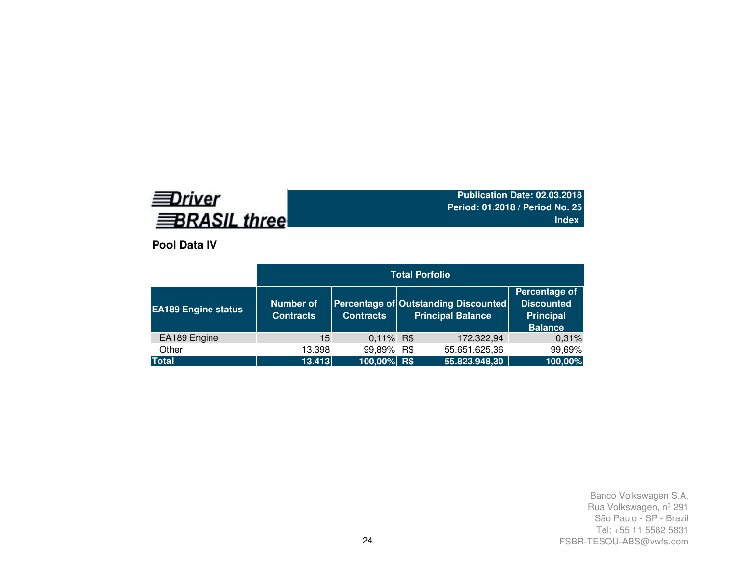# **EDriver BRASIL three**

**Publication Date: 02.03.2018 Period: 01.2018 / Period No. 25Index**

**Pool Data IV**

| <b>EA189 Engine status</b> | <b>Number of</b><br><b>Contracts</b> | <b>Contracts</b> | Percentage of Outstanding Discounted<br><b>Principal Balance</b> | Percentage of<br><b>Discounted</b><br><b>Principal</b><br><b>Balance</b> |
|----------------------------|--------------------------------------|------------------|------------------------------------------------------------------|--------------------------------------------------------------------------|
| EA189 Engine               | 15                                   | $0,11\%$ R\$     | 172.322,94                                                       | 0,31%                                                                    |
| Other                      | 13.398                               | 99,89% R\$       | 55.651.625,36                                                    | 99,69%                                                                   |
| <b>Total</b>               | 13.413                               | $100,00\%$ R\$   | 55.823.948,30                                                    | 100,00%                                                                  |